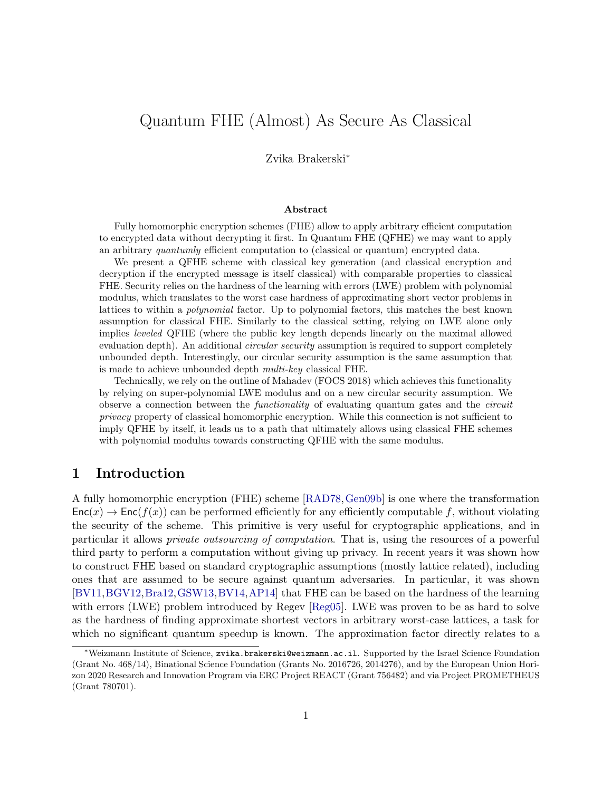# Quantum FHE (Almost) As Secure As Classical

Zvika Brakerski<sup>∗</sup>

#### Abstract

Fully homomorphic encryption schemes (FHE) allow to apply arbitrary efficient computation to encrypted data without decrypting it first. In Quantum FHE (QFHE) we may want to apply an arbitrary *quantumly* efficient computation to (classical or quantum) encrypted data.

We present a QFHE scheme with classical key generation (and classical encryption and decryption if the encrypted message is itself classical) with comparable properties to classical FHE. Security relies on the hardness of the learning with errors (LWE) problem with polynomial modulus, which translates to the worst case hardness of approximating short vector problems in lattices to within a polynomial factor. Up to polynomial factors, this matches the best known assumption for classical FHE. Similarly to the classical setting, relying on LWE alone only implies leveled QFHE (where the public key length depends linearly on the maximal allowed evaluation depth). An additional *circular security* assumption is required to support completely unbounded depth. Interestingly, our circular security assumption is the same assumption that is made to achieve unbounded depth multi-key classical FHE.

Technically, we rely on the outline of Mahadev (FOCS 2018) which achieves this functionality by relying on super-polynomial LWE modulus and on a new circular security assumption. We observe a connection between the functionality of evaluating quantum gates and the circuit privacy property of classical homomorphic encryption. While this connection is not sufficient to imply QFHE by itself, it leads us to a path that ultimately allows using classical FHE schemes with polynomial modulus towards constructing QFHE with the same modulus.

# 1 Introduction

A fully homomorphic encryption (FHE) scheme [\[RAD78,](#page-28-0)[Gen09b\]](#page-27-0) is one where the transformation  $Enc(x) \to Enc(f(x))$  can be performed efficiently for any efficiently computable f, without violating the security of the scheme. This primitive is very useful for cryptographic applications, and in particular it allows private outsourcing of computation. That is, using the resources of a powerful third party to perform a computation without giving up privacy. In recent years it was shown how to construct FHE based on standard cryptographic assumptions (mostly lattice related), including ones that are assumed to be secure against quantum adversaries. In particular, it was shown [\[BV11,](#page-26-0)[BGV12,](#page-26-1)[Bra12,](#page-26-2)[GSW13,](#page-27-1)[BV14,](#page-26-3)[AP14\]](#page-25-0) that FHE can be based on the hardness of the learning with errors (LWE) problem introduced by Regev [\[Reg05\]](#page-28-1). LWE was proven to be as hard to solve as the hardness of finding approximate shortest vectors in arbitrary worst-case lattices, a task for which no significant quantum speedup is known. The approximation factor directly relates to a

<sup>∗</sup>Weizmann Institute of Science, zvika.brakerski@weizmann.ac.il. Supported by the Israel Science Foundation (Grant No. 468/14), Binational Science Foundation (Grants No. 2016726, 2014276), and by the European Union Horizon 2020 Research and Innovation Program via ERC Project REACT (Grant 756482) and via Project PROMETHEUS (Grant 780701).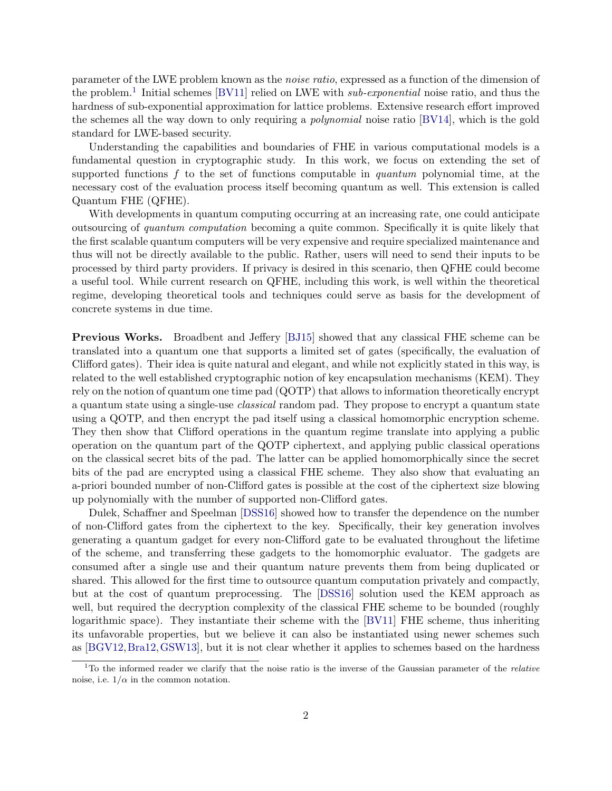parameter of the LWE problem known as the noise ratio, expressed as a function of the dimension of the problem.<sup>[1](#page-1-0)</sup> Initial schemes [\[BV11\]](#page-26-0) relied on LWE with *sub-exponential* noise ratio, and thus the hardness of sub-exponential approximation for lattice problems. Extensive research effort improved the schemes all the way down to only requiring a polynomial noise ratio [\[BV14\]](#page-26-3), which is the gold standard for LWE-based security.

Understanding the capabilities and boundaries of FHE in various computational models is a fundamental question in cryptographic study. In this work, we focus on extending the set of supported functions  $f$  to the set of functions computable in quantum polynomial time, at the necessary cost of the evaluation process itself becoming quantum as well. This extension is called Quantum FHE (QFHE).

With developments in quantum computing occurring at an increasing rate, one could anticipate outsourcing of quantum computation becoming a quite common. Specifically it is quite likely that the first scalable quantum computers will be very expensive and require specialized maintenance and thus will not be directly available to the public. Rather, users will need to send their inputs to be processed by third party providers. If privacy is desired in this scenario, then QFHE could become a useful tool. While current research on QFHE, including this work, is well within the theoretical regime, developing theoretical tools and techniques could serve as basis for the development of concrete systems in due time.

Previous Works. Broadbent and Jeffery [\[BJ15\]](#page-26-4) showed that any classical FHE scheme can be translated into a quantum one that supports a limited set of gates (specifically, the evaluation of Clifford gates). Their idea is quite natural and elegant, and while not explicitly stated in this way, is related to the well established cryptographic notion of key encapsulation mechanisms (KEM). They rely on the notion of quantum one time pad (QOTP) that allows to information theoretically encrypt a quantum state using a single-use classical random pad. They propose to encrypt a quantum state using a QOTP, and then encrypt the pad itself using a classical homomorphic encryption scheme. They then show that Clifford operations in the quantum regime translate into applying a public operation on the quantum part of the QOTP ciphertext, and applying public classical operations on the classical secret bits of the pad. The latter can be applied homomorphically since the secret bits of the pad are encrypted using a classical FHE scheme. They also show that evaluating an a-priori bounded number of non-Clifford gates is possible at the cost of the ciphertext size blowing up polynomially with the number of supported non-Clifford gates.

Dulek, Schaffner and Speelman [\[DSS16\]](#page-27-2) showed how to transfer the dependence on the number of non-Clifford gates from the ciphertext to the key. Specifically, their key generation involves generating a quantum gadget for every non-Clifford gate to be evaluated throughout the lifetime of the scheme, and transferring these gadgets to the homomorphic evaluator. The gadgets are consumed after a single use and their quantum nature prevents them from being duplicated or shared. This allowed for the first time to outsource quantum computation privately and compactly, but at the cost of quantum preprocessing. The [\[DSS16\]](#page-27-2) solution used the KEM approach as well, but required the decryption complexity of the classical FHE scheme to be bounded (roughly logarithmic space). They instantiate their scheme with the [\[BV11\]](#page-26-0) FHE scheme, thus inheriting its unfavorable properties, but we believe it can also be instantiated using newer schemes such as [\[BGV12,](#page-26-1)[Bra12,](#page-26-2)[GSW13\]](#page-27-1), but it is not clear whether it applies to schemes based on the hardness

<span id="page-1-0"></span><sup>&</sup>lt;sup>1</sup>To the informed reader we clarify that the noise ratio is the inverse of the Gaussian parameter of the *relative* noise, i.e.  $1/\alpha$  in the common notation.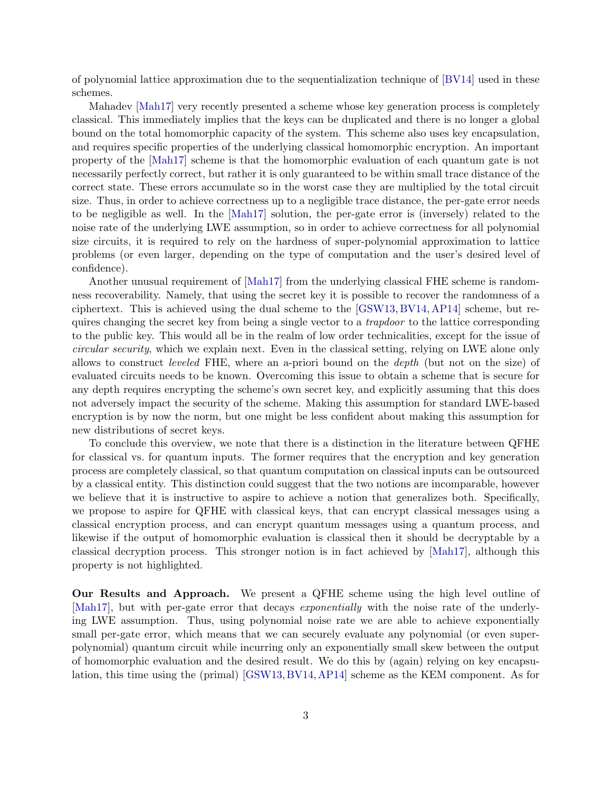of polynomial lattice approximation due to the sequentialization technique of [\[BV14\]](#page-26-3) used in these schemes.

Mahadev [\[Mah17\]](#page-27-3) very recently presented a scheme whose key generation process is completely classical. This immediately implies that the keys can be duplicated and there is no longer a global bound on the total homomorphic capacity of the system. This scheme also uses key encapsulation, and requires specific properties of the underlying classical homomorphic encryption. An important property of the [\[Mah17\]](#page-27-3) scheme is that the homomorphic evaluation of each quantum gate is not necessarily perfectly correct, but rather it is only guaranteed to be within small trace distance of the correct state. These errors accumulate so in the worst case they are multiplied by the total circuit size. Thus, in order to achieve correctness up to a negligible trace distance, the per-gate error needs to be negligible as well. In the [\[Mah17\]](#page-27-3) solution, the per-gate error is (inversely) related to the noise rate of the underlying LWE assumption, so in order to achieve correctness for all polynomial size circuits, it is required to rely on the hardness of super-polynomial approximation to lattice problems (or even larger, depending on the type of computation and the user's desired level of confidence).

Another unusual requirement of [\[Mah17\]](#page-27-3) from the underlying classical FHE scheme is randomness recoverability. Namely, that using the secret key it is possible to recover the randomness of a ciphertext. This is achieved using the dual scheme to the [\[GSW13,](#page-27-1) [BV14,](#page-26-3) [AP14\]](#page-25-0) scheme, but requires changing the secret key from being a single vector to a *trapdoor* to the lattice corresponding to the public key. This would all be in the realm of low order technicalities, except for the issue of circular security, which we explain next. Even in the classical setting, relying on LWE alone only allows to construct leveled FHE, where an a-priori bound on the depth (but not on the size) of evaluated circuits needs to be known. Overcoming this issue to obtain a scheme that is secure for any depth requires encrypting the scheme's own secret key, and explicitly assuming that this does not adversely impact the security of the scheme. Making this assumption for standard LWE-based encryption is by now the norm, but one might be less confident about making this assumption for new distributions of secret keys.

To conclude this overview, we note that there is a distinction in the literature between QFHE for classical vs. for quantum inputs. The former requires that the encryption and key generation process are completely classical, so that quantum computation on classical inputs can be outsourced by a classical entity. This distinction could suggest that the two notions are incomparable, however we believe that it is instructive to aspire to achieve a notion that generalizes both. Specifically, we propose to aspire for QFHE with classical keys, that can encrypt classical messages using a classical encryption process, and can encrypt quantum messages using a quantum process, and likewise if the output of homomorphic evaluation is classical then it should be decryptable by a classical decryption process. This stronger notion is in fact achieved by [\[Mah17\]](#page-27-3), although this property is not highlighted.

Our Results and Approach. We present a QFHE scheme using the high level outline of [\[Mah17\]](#page-27-3), but with per-gate error that decays *exponentially* with the noise rate of the underlying LWE assumption. Thus, using polynomial noise rate we are able to achieve exponentially small per-gate error, which means that we can securely evaluate any polynomial (or even superpolynomial) quantum circuit while incurring only an exponentially small skew between the output of homomorphic evaluation and the desired result. We do this by (again) relying on key encapsulation, this time using the (primal) [\[GSW13,](#page-27-1)[BV14,](#page-26-3)[AP14\]](#page-25-0) scheme as the KEM component. As for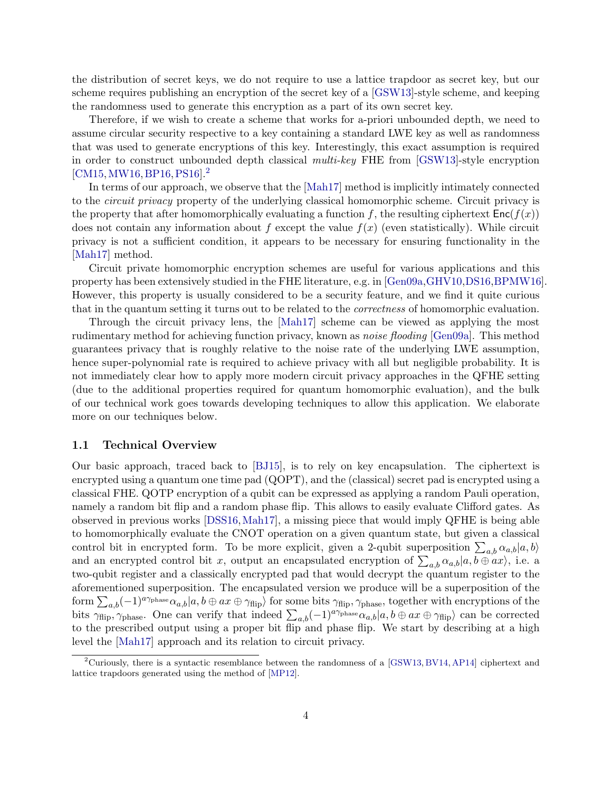the distribution of secret keys, we do not require to use a lattice trapdoor as secret key, but our scheme requires publishing an encryption of the secret key of a [\[GSW13\]](#page-27-1)-style scheme, and keeping the randomness used to generate this encryption as a part of its own secret key.

Therefore, if we wish to create a scheme that works for a-priori unbounded depth, we need to assume circular security respective to a key containing a standard LWE key as well as randomness that was used to generate encryptions of this key. Interestingly, this exact assumption is required in order to construct unbounded depth classical multi-key FHE from [\[GSW13\]](#page-27-1)-style encryption [\[CM15,](#page-26-5)[MW16,](#page-28-2)[BP16,](#page-26-6)[PS16\]](#page-28-3).[2](#page-3-0)

In terms of our approach, we observe that the [\[Mah17\]](#page-27-3) method is implicitly intimately connected to the *circuit privacy* property of the underlying classical homomorphic scheme. Circuit privacy is the property that after homomorphically evaluating a function f, the resulting ciphertext  $Enc(f(x))$ does not contain any information about f except the value  $f(x)$  (even statistically). While circuit privacy is not a sufficient condition, it appears to be necessary for ensuring functionality in the [\[Mah17\]](#page-27-3) method.

Circuit private homomorphic encryption schemes are useful for various applications and this property has been extensively studied in the FHE literature, e.g. in [\[Gen09a,](#page-27-4)[GHV10,](#page-27-5)[DS16,](#page-26-7)[BPMW16\]](#page-26-8). However, this property is usually considered to be a security feature, and we find it quite curious that in the quantum setting it turns out to be related to the *correctness* of homomorphic evaluation.

Through the circuit privacy lens, the [\[Mah17\]](#page-27-3) scheme can be viewed as applying the most rudimentary method for achieving function privacy, known as noise flooding [\[Gen09a\]](#page-27-4). This method guarantees privacy that is roughly relative to the noise rate of the underlying LWE assumption, hence super-polynomial rate is required to achieve privacy with all but negligible probability. It is not immediately clear how to apply more modern circuit privacy approaches in the QFHE setting (due to the additional properties required for quantum homomorphic evaluation), and the bulk of our technical work goes towards developing techniques to allow this application. We elaborate more on our techniques below.

#### <span id="page-3-1"></span>1.1 Technical Overview

Our basic approach, traced back to [\[BJ15\]](#page-26-4), is to rely on key encapsulation. The ciphertext is encrypted using a quantum one time pad (QOPT), and the (classical) secret pad is encrypted using a classical FHE. QOTP encryption of a qubit can be expressed as applying a random Pauli operation, namely a random bit flip and a random phase flip. This allows to easily evaluate Clifford gates. As observed in previous works [\[DSS16,](#page-27-2)[Mah17\]](#page-27-3), a missing piece that would imply QFHE is being able to homomorphically evaluate the CNOT operation on a given quantum state, but given a classical control bit in encrypted form. To be more explicit, given a 2-qubit superposition  $\sum_{a,b} \alpha_{a,b} |a,b\rangle$ and an encrypted control bit x, output an encapsulated encryption of  $\sum_{a,b} \alpha_{a,b} |a,b \oplus ax\rangle$ , i.e. a two-qubit register and a classically encrypted pad that would decrypt the quantum register to the aforementioned superposition. The encapsulated version we produce will be a superposition of the form  $\sum_{a,b}(-1)^{a\gamma_{\text{phase}}} \alpha_{a,b}|a,b\oplus ax \oplus \gamma_{\text{flip}}\rangle$  for some bits  $\gamma_{\text{flip}}, \gamma_{\text{phase}},$  together with encryptions of the bits  $\gamma_{\text{flip}}, \gamma_{\text{phase}}$ . One can verify that indeed  $\sum_{a,b}(-1)^{a\gamma_{\text{phase}}} \alpha_{a,b}|a,b \oplus ax \oplus \gamma_{\text{flip}}\rangle$  can be corrected to the prescribed output using a proper bit flip and phase flip. We start by describing at a high level the [\[Mah17\]](#page-27-3) approach and its relation to circuit privacy.

<span id="page-3-0"></span><sup>&</sup>lt;sup>2</sup>Curiously, there is a syntactic resemblance between the randomness of a [\[GSW13,](#page-27-1) [BV14,](#page-26-3) [AP14\]](#page-25-0) ciphertext and lattice trapdoors generated using the method of [\[MP12\]](#page-27-6).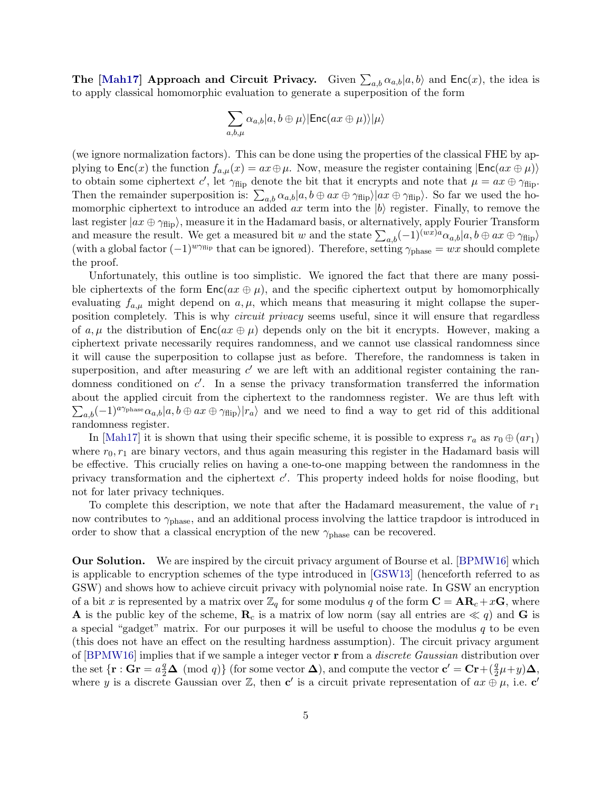**The [\[Mah17\]](#page-27-3) Approach and Circuit Privacy.** Given  $\sum_{a,b} \alpha_{a,b} |a,b\rangle$  and  $Enc(x)$ , the idea is to apply classical homomorphic evaluation to generate a superposition of the form

$$
\sum_{a,b,\mu} \alpha_{a,b} |a,b \oplus \mu\rangle|{\sf Enc}(ax \oplus \mu)\rangle|\mu\rangle
$$

(we ignore normalization factors). This can be done using the properties of the classical FHE by applying to  $\mathsf{Enc}(x)$  the function  $f_{a,\mu}(x) = ax \oplus \mu$ . Now, measure the register containing  $|\mathsf{Enc}(ax \oplus \mu)\rangle$ to obtain some ciphertext c', let  $\gamma_{\text{flip}}$  denote the bit that it encrypts and note that  $\mu = ax \oplus \gamma_{\text{flip}}$ . Then the remainder superposition is:  $\sum_{a,b} \alpha_{a,b} |a,b \oplus ax \oplus \gamma_{\text{flip}}|ax \oplus \gamma_{\text{flip}}\rangle$ . So far we used the homomorphic ciphertext to introduce an added  $ax$  term into the  $|b\rangle$  register. Finally, to remove the last register  $|ax \oplus \gamma_{\text{flip}}\rangle$ , measure it in the Hadamard basis, or alternatively, apply Fourier Transform and measure the result. We get a measured bit w and the state  $\sum_{a,b}(-1)^{(wx)a}\alpha_{a,b}|a,b\oplus ax\oplus \gamma_{\text{flip}}\rangle$ (with a global factor  $(-1)^{w\gamma_{\text{flip}}}$  that can be ignored). Therefore, setting  $\gamma_{\text{phase}} = wx$  should complete the proof.

Unfortunately, this outline is too simplistic. We ignored the fact that there are many possible ciphertexts of the form  $Enc(ax \oplus \mu)$ , and the specific ciphertext output by homomorphically evaluating  $f_{a,\mu}$  might depend on  $a,\mu$ , which means that measuring it might collapse the superposition completely. This is why *circuit privacy* seems useful, since it will ensure that regardless of  $a, \mu$  the distribution of  $Enc(ax \oplus \mu)$  depends only on the bit it encrypts. However, making a ciphertext private necessarily requires randomness, and we cannot use classical randomness since it will cause the superposition to collapse just as before. Therefore, the randomness is taken in superposition, and after measuring  $c'$  we are left with an additional register containing the randomness conditioned on  $c'$ . In a sense the privacy transformation transferred the information about the applied circuit from the ciphertext to the randomness register. We are thus left with  $\sum_{a,b}(-1)^{a\gamma_{\text{phase}}} \alpha_{a,b}|a,b\oplus ax \oplus \gamma_{\text{flip}}\rangle|r_a\rangle$  and we need to find a way to get rid of this additional randomness register.

In [\[Mah17\]](#page-27-3) it is shown that using their specific scheme, it is possible to express  $r_a$  as  $r_0 \oplus (ar_1)$ where  $r_0, r_1$  are binary vectors, and thus again measuring this register in the Hadamard basis will be effective. This crucially relies on having a one-to-one mapping between the randomness in the privacy transformation and the ciphertext  $c'$ . This property indeed holds for noise flooding, but not for later privacy techniques.

To complete this description, we note that after the Hadamard measurement, the value of  $r_1$ now contributes to  $\gamma_{\text{phase}}$ , and an additional process involving the lattice trapdoor is introduced in order to show that a classical encryption of the new  $\gamma_{\text{phase}}$  can be recovered.

Our Solution. We are inspired by the circuit privacy argument of Bourse et al. [\[BPMW16\]](#page-26-8) which is applicable to encryption schemes of the type introduced in [\[GSW13\]](#page-27-1) (henceforth referred to as GSW) and shows how to achieve circuit privacy with polynomial noise rate. In GSW an encryption of a bit x is represented by a matrix over  $\mathbb{Z}_q$  for some modulus q of the form  $\mathbf{C} = \mathbf{AR}_c + x\mathbf{G}$ , where **A** is the public key of the scheme,  $\mathbf{R}_c$  is a matrix of low norm (say all entries are  $\ll q$ ) and **G** is a special "gadget" matrix. For our purposes it will be useful to choose the modulus  $q$  to be even (this does not have an effect on the resulting hardness assumption). The circuit privacy argument of [\[BPMW16\]](#page-26-8) implies that if we sample a integer vector r from a discrete Gaussian distribution over the set  $\{ \mathbf{r} : \mathbf{G}\mathbf{r} = a\frac{q}{2}\mathbf{\Delta} \pmod{q} \}$  (for some vector  $\mathbf{\Delta}$ ), and compute the vector  $\mathbf{c}' = \mathbf{C}\mathbf{r} + (\frac{q}{2}\mu + y)\mathbf{\Delta}$ , where y is a discrete Gaussian over Z, then c' is a circuit private representation of  $ax \oplus \mu$ , i.e. c'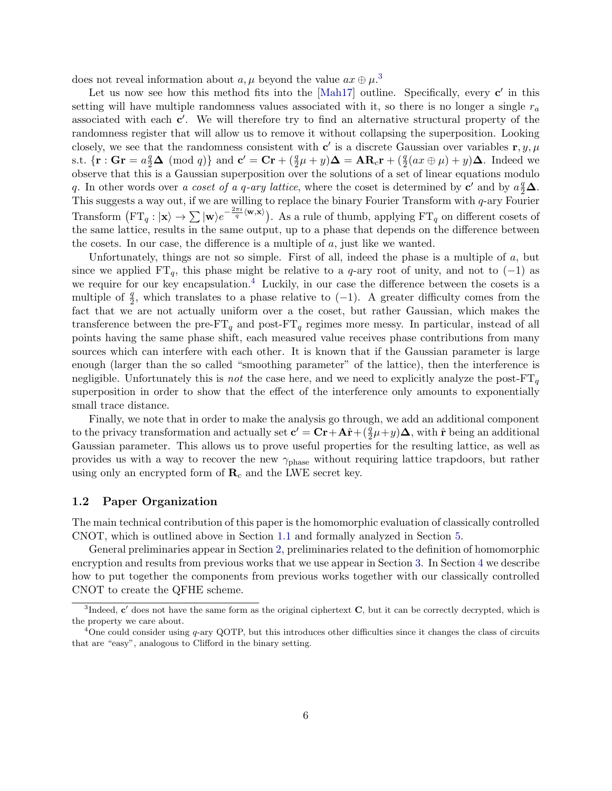does not reveal information about  $a, \mu$  beyond the value  $ax \oplus \mu$ <sup>[3](#page-5-0)</sup>

Let us now see how this method fits into the  $[Mah17]$  outline. Specifically, every  $c'$  in this setting will have multiple randomness values associated with it, so there is no longer a single  $r_a$ associated with each  $c'$ . We will therefore try to find an alternative structural property of the randomness register that will allow us to remove it without collapsing the superposition. Looking closely, we see that the randomness consistent with  $c'$  is a discrete Gaussian over variables  $r, y, \mu$ s.t.  $\{ \mathbf{r} : \mathbf{G}\mathbf{r} = a\frac{q}{2}\mathbf{\Delta} \pmod{q} \}$  and  $\mathbf{c}' = \mathbf{C}\mathbf{r} + (\frac{q}{2}\mu + y)\mathbf{\Delta} = \mathbf{A}\mathbf{R}_c\mathbf{r} + (\frac{q}{2}(ax \oplus \mu) + y)\mathbf{\Delta}$ . Indeed we observe that this is a Gaussian superposition over the solutions of a set of linear equations modulo q. In other words over a coset of a q-ary lattice, where the coset is determined by  $c'$  and by  $a_{\frac{q}{2}}^q \Delta$ . This suggests a way out, if we are willing to replace the binary Fourier Transform with q-ary Fourier Transform  $(\text{FT}_q : | \mathbf{x}) \to \sum | \mathbf{w} \rangle e^{-\frac{2\pi i}{q} \langle \mathbf{w}, \mathbf{x} \rangle}).$  As a rule of thumb, applying  $\text{FT}_q$  on different cosets of the same lattice, results in the same output, up to a phase that depends on the difference between the cosets. In our case, the difference is a multiple of a, just like we wanted.

Unfortunately, things are not so simple. First of all, indeed the phase is a multiple of  $a$ , but since we applied  $FT_\sigma$ , this phase might be relative to a  $q$ -ary root of unity, and not to (-1) as we require for our key encapsulation.<sup>[4](#page-5-1)</sup> Luckily, in our case the difference between the cosets is a multiple of  $\frac{q}{2}$ , which translates to a phase relative to (-1). A greater difficulty comes from the fact that we are not actually uniform over a the coset, but rather Gaussian, which makes the transference between the pre- $FT_q$  and post- $FT_q$  regimes more messy. In particular, instead of all points having the same phase shift, each measured value receives phase contributions from many sources which can interfere with each other. It is known that if the Gaussian parameter is large enough (larger than the so called "smoothing parameter" of the lattice), then the interference is negligible. Unfortunately this is *not* the case here, and we need to explicitly analyze the post- $FT_q$ superposition in order to show that the effect of the interference only amounts to exponentially small trace distance.

Finally, we note that in order to make the analysis go through, we add an additional component to the privacy transformation and actually set  $\mathbf{c}' = \mathbf{C}\mathbf{r} + \mathbf{A}\hat{\mathbf{r}} + (\frac{q}{2}\mu + y)\mathbf{\Delta}$ , with  $\hat{\mathbf{r}}$  being an additional Gaussian parameter. This allows us to prove useful properties for the resulting lattice, as well as provides us with a way to recover the new  $\gamma_{\text{phase}}$  without requiring lattice trapdoors, but rather using only an encrypted form of  $\mathbf{R}_c$  and the LWE secret key.

#### 1.2 Paper Organization

The main technical contribution of this paper is the homomorphic evaluation of classically controlled CNOT, which is outlined above in Section [1.1](#page-3-1) and formally analyzed in Section [5.](#page-16-0)

General preliminaries appear in Section [2,](#page-6-0) preliminaries related to the definition of homomorphic encryption and results from previous works that we use appear in Section [3.](#page-11-0) In Section [4](#page-15-0) we describe how to put together the components from previous works together with our classically controlled CNOT to create the QFHE scheme.

<span id="page-5-0"></span> ${}^{3}$ Indeed, c' does not have the same form as the original ciphertext C, but it can be correctly decrypted, which is the property we care about.

<span id="page-5-1"></span> $4$ One could consider using  $q$ -ary QOTP, but this introduces other difficulties since it changes the class of circuits that are "easy", analogous to Clifford in the binary setting.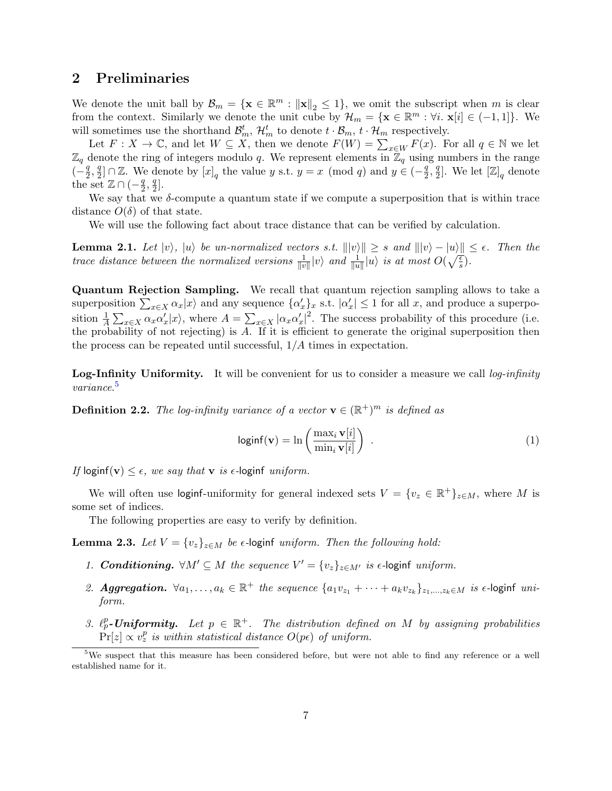# <span id="page-6-0"></span>2 Preliminaries

We denote the unit ball by  $\mathcal{B}_m = \{ \mathbf{x} \in \mathbb{R}^m : ||\mathbf{x}||_2 \leq 1 \}$ , we omit the subscript when m is clear from the context. Similarly we denote the unit cube by  $\mathcal{H}_m = {\mathbf{x} \in \mathbb{R}^m : \forall i. \mathbf{x}[i] \in (-1,1]}$ . We will sometimes use the shorthand  $\mathcal{B}_m^t$ ,  $\mathcal{H}_m^t$  to denote  $t \cdot \mathcal{B}_m$ ,  $t \cdot \mathcal{H}_m$  respectively.

Let  $F: X \to \mathbb{C}$ , and let  $W \subseteq X$ , then we denote  $F(W) = \sum_{x \in W} F(x)$ . For all  $q \in \mathbb{N}$  we let  $\mathbb{Z}_q$  denote the ring of integers modulo q. We represent elements in  $\mathbb{Z}_q$  using numbers in the range  $\left(-\frac{q}{2}\right)$  $\frac{q}{2}, \frac{q}{2}$  $\frac{q}{2}$  ∩ Z. We denote by  $[x]_q$  the value y s.t.  $y = x \pmod{q}$  and  $y \in (-\frac{q}{2})$  $\frac{q}{2}, \frac{q}{2}$  $\frac{q}{2}$ . We let  $\left[\mathbb{Z}\right]_q$  denote the set  $\mathbb{Z} \cap (-\frac{q}{2})$  $\frac{q}{2}, \frac{q}{2}$  $\frac{q}{2}$ .

We say that we  $\delta$ -compute a quantum state if we compute a superposition that is within trace distance  $O(\delta)$  of that state.

We will use the following fact about trace distance that can be verified by calculation.

<span id="page-6-4"></span>**Lemma 2.1.** Let  $|v\rangle$ ,  $|u\rangle$  be un-normalized vectors s.t.  $|||v\rangle|| \geq s$  and  $|||v\rangle - |u\rangle|| \leq \epsilon$ . Then the trace distance between the normalized versions  $\frac{1}{\|v\|}|v\rangle$  and  $\frac{1}{\|u\|}|u\rangle$  is at most  $O(\sqrt{\frac{\epsilon}{s}})$ .

Quantum Rejection Sampling. We recall that quantum rejection sampling allows to take a superposition  $\sum_{x \in X} \alpha_x |x\rangle$  and any sequence  $\{\alpha'_x\}_x$  s.t.  $|\alpha'_x| \leq 1$  for all x, and produce a superposition  $\frac{1}{A} \sum_{x \in X} \alpha_x \alpha_x' |x\rangle$ , where  $A = \sum_{x \in X} |\alpha_x \alpha_x'|^2$ . The success probability of this procedure (i.e. the probability of not rejecting) is  $A$ . If it is efficient to generate the original superposition then the process can be repeated until successful,  $1/A$  times in expectation.

Log-Infinity Uniformity. It will be convenient for us to consider a measure we call log-infinity variance. [5](#page-6-1)

<span id="page-6-2"></span>**Definition 2.2.** The log-infinity variance of a vector  $\mathbf{v} \in (\mathbb{R}^+)^m$  is defined as

$$
loginf(\mathbf{v}) = \ln\left(\frac{\max_i \mathbf{v}[i]}{\min_i \mathbf{v}[i]}\right) \tag{1}
$$

If loginf(v)  $\leq \epsilon$ , we say that v is  $\epsilon$ -loginf uniform.

We will often use loginf-uniformity for general indexed sets  $V = \{v_z \in \mathbb{R}^+\}_{z \in M}$ , where M is some set of indices.

The following properties are easy to verify by definition.

<span id="page-6-3"></span>**Lemma 2.3.** Let  $V = \{v_z\}_{z \in M}$  be  $\epsilon$ -loging uniform. Then the following hold:

- 1. **Conditioning.**  $\forall M' \subseteq M$  the sequence  $V' = \{v_z\}_{z \in M'}$  is  $\epsilon$ -loginf uniform.
- 2. **Aggregation.**  $\forall a_1, \ldots, a_k \in \mathbb{R}^+$  the sequence  $\{a_1v_{z_1} + \cdots + a_kv_{z_k}\}_{z_1,\ldots,z_k \in M}$  is  $\epsilon$ -loginf uniform.
- 3.  $\ell_p^p$ -**Uniformity.** Let  $p \in \mathbb{R}^+$ . The distribution defined on M by assigning probabilities  $Pr[z] \propto v_z^p$  is within statistical distance  $O(p\epsilon)$  of uniform.

<span id="page-6-1"></span><sup>&</sup>lt;sup>5</sup>We suspect that this measure has been considered before, but were not able to find any reference or a well established name for it.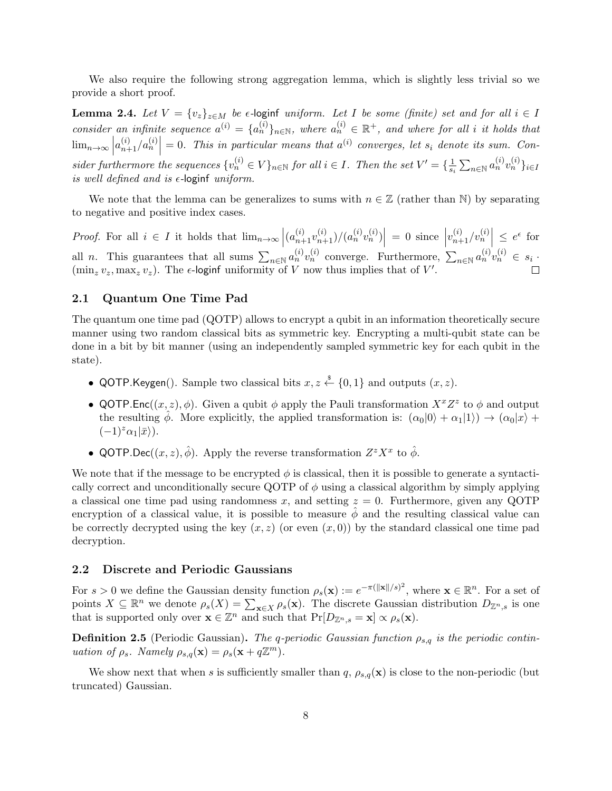We also require the following strong aggregation lemma, which is slightly less trivial so we provide a short proof.

<span id="page-7-0"></span>**Lemma 2.4.** Let  $V = \{v_z\}_{z \in M}$  be  $\epsilon$ -loginf uniform. Let I be some (finite) set and for all  $i \in I$ consider an infinite sequence  $a^{(i)} = \{a_n^{(i)}\}_{n \in \mathbb{N}}$ , where  $a_n^{(i)} \in \mathbb{R}^+$ , and where for all i it holds that  $\lim_{n\to\infty}$  $a_{n+1}^{(i)}/a_n^{(i)}$  $= 0$ . This in particular means that  $a^{(i)}$  converges, let  $s_i$  denote its sum. Consider furthermore the sequences  $\{v_n^{(i)} \in V\}_{n \in \mathbb{N}}$  for all  $i \in I$ . Then the set  $V' = \{\frac{1}{s}\}$  $\frac{1}{s_i} \sum_{n \in \mathbb{N}} a_n^{(i)} v_n^{(i)} \}_{i \in I}$ is well defined and is  $\epsilon$ -loginf uniform.

We note that the lemma can be generalizes to sums with  $n \in \mathbb{Z}$  (rather than N) by separating to negative and positive index cases.

*Proof.* For all  $i \in I$  it holds that  $\lim_{n\to\infty} \left| \left( a_{n+1}^{(i)} v_{n+1}^{(i)} \right) / \left( a_n^{(i)} v_n^{(i)} \right) \right|$  $= 0$  since  $\Big|$  $v_{n+1}^{(i)}/v_n^{(i)} \Big| \le e^{\epsilon}$  for all *n*. This guarantees that all sums  $\sum_{n\in\mathbb{N}} a_n^{(i)} v_n^{(i)}$  converge. Furthermore,  $\sum_{n\in\mathbb{N}} a_n^{(i)} v_n^{(i)} \in s_i$ .  $(\min_z v_z, \max_z v_z)$ . The  $\epsilon$ -loginf uniformity of V now thus implies that of V'.

#### 2.1 Quantum One Time Pad

The quantum one time pad (QOTP) allows to encrypt a qubit in an information theoretically secure manner using two random classical bits as symmetric key. Encrypting a multi-qubit state can be done in a bit by bit manner (using an independently sampled symmetric key for each qubit in the state).

- QOTP.Keygen(). Sample two classical bits  $x, z \stackrel{\$}{\leftarrow} \{0, 1\}$  and outputs  $(x, z)$ .
- QOTP.Enc $((x, z), \phi)$ . Given a qubit  $\phi$  apply the Pauli transformation  $X^x Z^z$  to  $\phi$  and output the resulting  $\hat{\phi}$ . More explicitly, the applied transformation is:  $(\alpha_0|0\rangle + \alpha_1|1\rangle \rightarrow (\alpha_0|x\rangle +$  $(-1)^{z}\alpha_1|\bar{x}\rangle$ ).
- QOTP.Dec( $(x, z)$ ,  $\hat{\phi}$ ). Apply the reverse transformation  $Z^z X^x$  to  $\hat{\phi}$ .

We note that if the message to be encrypted  $\phi$  is classical, then it is possible to generate a syntactically correct and unconditionally secure QOTP of  $\phi$  using a classical algorithm by simply applying a classical one time pad using randomness x, and setting  $z = 0$ . Furthermore, given any QOTP encryption of a classical value, it is possible to measure  $\phi$  and the resulting classical value can be correctly decrypted using the key  $(x, z)$  (or even  $(x, 0)$ ) by the standard classical one time pad decryption.

#### <span id="page-7-1"></span>2.2 Discrete and Periodic Gaussians

For  $s > 0$  we define the Gaussian density function  $\rho_s(\mathbf{x}) := e^{-\pi(|\mathbf{x}||/s)^2}$ , where  $\mathbf{x} \in \mathbb{R}^n$ . For a set of points  $X \subseteq \mathbb{R}^n$  we denote  $\rho_s(X) = \sum_{\mathbf{x} \in X} \rho_s(\mathbf{x})$ . The discrete Gaussian distribution  $D_{\mathbb{Z}^n,s}$  is one that is supported only over  $\mathbf{x} \in \mathbb{Z}^n$  and such that  $Pr[D_{\mathbb{Z}^n,s} = \mathbf{x}] \propto \rho_s(\mathbf{x})$ .

**Definition 2.5** (Periodic Gaussian). The q-periodic Gaussian function  $\rho_{s,q}$  is the periodic continuation of  $\rho_s$ . Namely  $\rho_{s,q}(\mathbf{x}) = \rho_s(\mathbf{x} + q \mathbb{Z}^m)$ .

We show next that when s is sufficiently smaller than q,  $\rho_{s,q}(\mathbf{x})$  is close to the non-periodic (but truncated) Gaussian.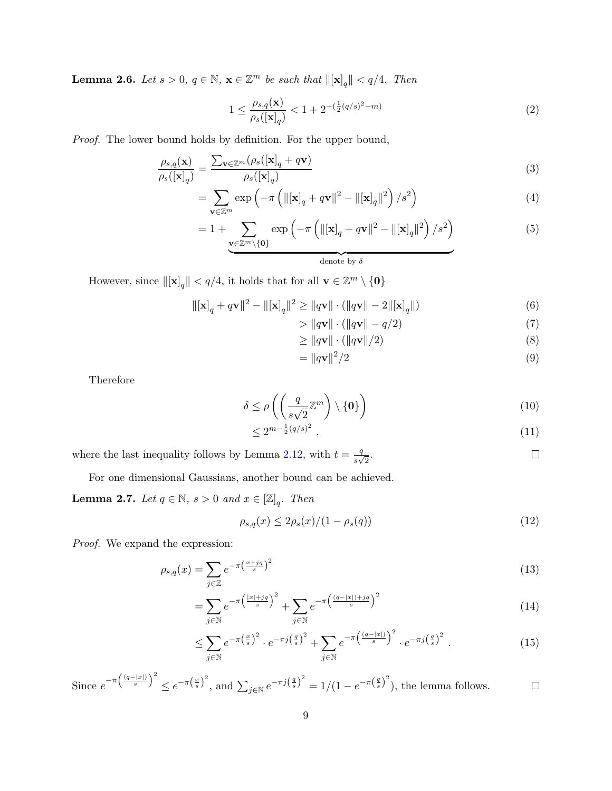**Lemma 2.6.** Let  $s > 0$ ,  $q \in \mathbb{N}$ ,  $\mathbf{x} \in \mathbb{Z}^m$  be such that  $\|[\mathbf{x}]_q \| < q/4$ . Then

$$
1 \le \frac{\rho_{s,q}(\mathbf{x})}{\rho_s([\mathbf{x}]_q)} < 1 + 2^{-(\frac{1}{2}(q/s)^2 - m)}\tag{2}
$$

Proof. The lower bound holds by definition. For the upper bound,

$$
\frac{\rho_{s,q}(\mathbf{x})}{\rho_s([\mathbf{x}]_q)} = \frac{\sum_{\mathbf{v} \in \mathbb{Z}^m} (\rho_s([\mathbf{x}]_q + q\mathbf{v})}{\rho_s([\mathbf{x}]_q)}
$$
(3)

$$
= \sum_{\mathbf{v}\in\mathbb{Z}^m} \exp\left(-\pi \left(\|[\mathbf{x}]_q + q\mathbf{v}\|^2 - \|[\mathbf{x}]_q\|^2\right)/s^2\right) \tag{4}
$$

$$
=1+\sum_{\mathbf{v}\in\mathbb{Z}^m\backslash\{\mathbf{0}\}}\exp\left(-\pi\left(\|\[\mathbf{x}\]_q+q\mathbf{v}\|^2-\|\[\mathbf{x}\]_q\|^2\right)/s^2\right) \tag{5}
$$

denote by  $\delta$ 

However, since  $\|[\mathbf{x}]_q\| < q/4$ , it holds that for all  $\mathbf{v} \in \mathbb{Z}^m \setminus \{\mathbf{0}\}\$ 

$$
\|[\mathbf{x}]_q + q\mathbf{v}\|^2 - \|[\mathbf{x}]_q\|^2 \ge \|q\|\cdot(\|q\mathbf{v}\| - 2\|[\mathbf{x}]_q\|)
$$
(6)

$$
> \|q\mathbf{v}\| \cdot (\|q\mathbf{v}\| - q/2) \tag{7}
$$

$$
\geq \|q\mathbf{v}\| \cdot (\|q\mathbf{v}\|/2) \tag{8}
$$

$$
= \|q\mathbf{v}\|^2/2\tag{9}
$$

 $\Box$ 

Therefore

$$
\delta \le \rho \left( \left( \frac{q}{s\sqrt{2}} \mathbb{Z}^m \right) \setminus \{ \mathbf{0} \} \right) \tag{10}
$$

$$
\leq 2^{m - \frac{1}{2}(q/s)^2} \tag{11}
$$

where the last inequality follows by Lemma [2.12,](#page-9-0) with  $t = \frac{q}{\sqrt{q}}$  $rac{q}{s\sqrt{2}}$ .

For one dimensional Gaussians, another bound can be achieved.

<span id="page-8-0"></span>**Lemma 2.7.** Let  $q \in \mathbb{N}$ ,  $s > 0$  and  $x \in [\mathbb{Z}]_q$ . Then

$$
\rho_{s,q}(x) \le 2\rho_s(x)/(1 - \rho_s(q))
$$
\n(12)

Proof. We expand the expression:

$$
\rho_{s,q}(x) = \sum_{j \in \mathbb{Z}} e^{-\pi \left(\frac{x+jq}{s}\right)^2} \tag{13}
$$

$$
=\sum_{j\in\mathbb{N}}e^{-\pi\left(\frac{|x|+jq}{s}\right)^2}+\sum_{j\in\mathbb{N}}e^{-\pi\left(\frac{(q-|x|)+jq}{s}\right)^2}\tag{14}
$$

$$
\leq \sum_{j \in \mathbb{N}} e^{-\pi \left(\frac{x}{s}\right)^2} \cdot e^{-\pi j \left(\frac{q}{s}\right)^2} + \sum_{j \in \mathbb{N}} e^{-\pi \left(\frac{(q-|x|)}{s}\right)^2} \cdot e^{-\pi j \left(\frac{q}{s}\right)^2} \tag{15}
$$

Since  $e^{-\pi\left(\frac{(q-|x|)}{s}\right)^2}$  $\leq e^{-\pi (\frac{x}{s})^2}$ , and  $\sum_{j\in \mathbb{N}} e^{-\pi j (\frac{q}{s})^2} = 1/(1 - e^{-\pi (\frac{q}{s})^2})$ , the lemma follows.  $\Box$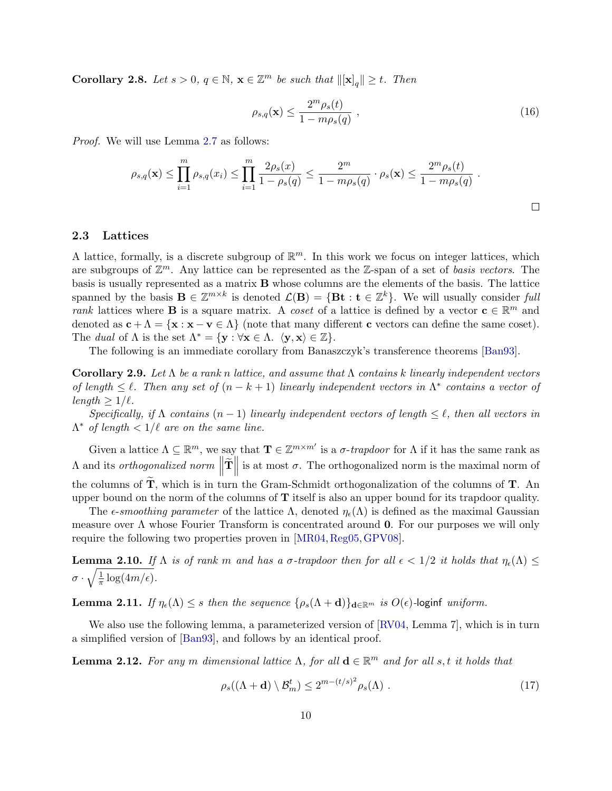**Corollary 2.8.** Let  $s > 0$ ,  $q \in \mathbb{N}$ ,  $\mathbf{x} \in \mathbb{Z}^m$  be such that  $\|[\mathbf{x}]_q \|\geq t$ . Then

$$
\rho_{s,q}(\mathbf{x}) \le \frac{2^m \rho_s(t)}{1 - m \rho_s(q)} \tag{16}
$$

Proof. We will use Lemma [2.7](#page-8-0) as follows:

$$
\rho_{s,q}(\mathbf{x}) \le \prod_{i=1}^m \rho_{s,q}(x_i) \le \prod_{i=1}^m \frac{2\rho_s(x)}{1 - \rho_s(q)} \le \frac{2^m}{1 - m\rho_s(q)} \cdot \rho_s(\mathbf{x}) \le \frac{2^m \rho_s(t)}{1 - m\rho_s(q)}.
$$

#### 2.3 Lattices

A lattice, formally, is a discrete subgroup of  $\mathbb{R}^m$ . In this work we focus on integer lattices, which are subgroups of  $\mathbb{Z}^m$ . Any lattice can be represented as the  $\mathbb{Z}$ -span of a set of basis vectors. The basis is usually represented as a matrix B whose columns are the elements of the basis. The lattice spanned by the basis  $\mathbf{B} \in \mathbb{Z}^{m \times k}$  is denoted  $\mathcal{L}(\mathbf{B}) = \{\mathbf{B} \mathbf{t} : \mathbf{t} \in \mathbb{Z}^k\}$ . We will usually consider full rank lattices where **B** is a square matrix. A coset of a lattice is defined by a vector  $\mathbf{c} \in \mathbb{R}^m$  and denoted as  $\mathbf{c} + \Lambda = {\mathbf{x} : \mathbf{x} - \mathbf{v} \in \Lambda}$  (note that many different **c** vectors can define the same coset). The dual of  $\Lambda$  is the set  $\Lambda^* = \{ \mathbf{y} : \forall \mathbf{x} \in \Lambda$ .  $\langle \mathbf{y}, \mathbf{x} \rangle \in \mathbb{Z} \}.$ 

The following is an immediate corollary from Banaszczyk's transference theorems [\[Ban93\]](#page-25-1).

<span id="page-9-1"></span>Corollary 2.9. Let  $\Lambda$  be a rank n lattice, and assume that  $\Lambda$  contains k linearly independent vectors of length  $\leq \ell$ . Then any set of  $(n - k + 1)$  linearly independent vectors in  $\Lambda^*$  contains a vector of length  $\geq 1/\ell$ .

Specifically, if  $\Lambda$  contains  $(n - 1)$  linearly independent vectors of length  $\leq \ell$ , then all vectors in  $\Lambda^*$  of length  $\langle 1/\ell \rangle$  are on the same line.

Given a lattice  $\Lambda \subseteq \mathbb{R}^m$ , we say that  $\mathbf{T} \in \mathbb{Z}^{m \times m'}$  is a  $\sigma$ -trapdoor for  $\Lambda$  if it has the same rank as  $\Lambda$  and its *orthogonalized norm*  $\left\| \widetilde{\mathbf{T}} \right\|$ is at most  $\sigma$ . The orthogonalized norm is the maximal norm of the columns of  $\tilde{T}$ , which is in turn the Gram-Schmidt orthogonalization of the columns of T. An upper bound on the norm of the columns of  $T$  itself is also an upper bound for its trapdoor quality.

The  $\epsilon$ -smoothing parameter of the lattice Λ, denoted  $\eta_{\epsilon}(\Lambda)$  is defined as the maximal Gaussian measure over  $\Lambda$  whose Fourier Transform is concentrated around 0. For our purposes we will only require the following two properties proven in [\[MR04,](#page-27-7) [Reg05,](#page-28-1) [GPV08\]](#page-27-8).

<span id="page-9-3"></span>**Lemma 2.10.** If  $\Lambda$  is of rank m and has a  $\sigma$ -trapdoor then for all  $\epsilon < 1/2$  it holds that  $\eta_{\epsilon}(\Lambda) \leq$  $\sigma \cdot \sqrt{\frac{1}{\pi}}$  $\frac{1}{\pi} \log(4m/\epsilon)$ .

<span id="page-9-2"></span>**Lemma 2.11.** If  $\eta_{\epsilon}(\Lambda) \leq s$  then the sequence  $\{\rho_s(\Lambda + \mathbf{d})\}_{\mathbf{d}\in\mathbb{R}^m}$  is  $O(\epsilon)$ -loginf uniform.

We also use the following lemma, a parameterized version of  $[RV04, Lemma 7]$  $[RV04, Lemma 7]$ , which is in turn a simplified version of [\[Ban93\]](#page-25-1), and follows by an identical proof.

<span id="page-9-0"></span>**Lemma 2.12.** For any m dimensional lattice  $\Lambda$ , for all  $\mathbf{d} \in \mathbb{R}^m$  and for all  $s$ , t it holds that

$$
\rho_s((\Lambda + \mathbf{d}) \setminus \mathcal{B}_m^t) \le 2^{m - (t/s)^2} \rho_s(\Lambda) \tag{17}
$$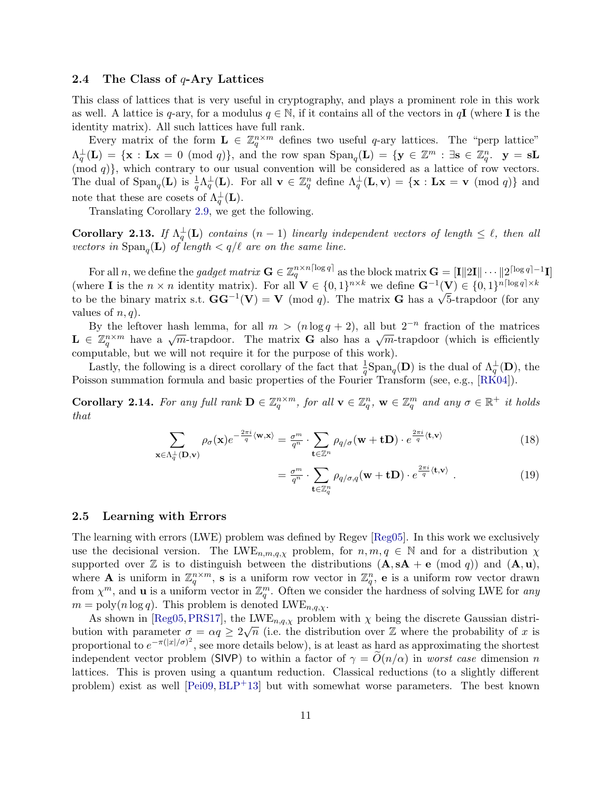#### 2.4 The Class of  $q$ -Ary Lattices

This class of lattices that is very useful in cryptography, and plays a prominent role in this work as well. A lattice is q-ary, for a modulus  $q \in \mathbb{N}$ , if it contains all of the vectors in  $qI$  (where I is the identity matrix). All such lattices have full rank.

Every matrix of the form  $\mathbf{L} \in \mathbb{Z}_q^{n \times m}$  defines two useful q-ary lattices. The "perp lattice"  $\Lambda_q^{\perp}(\mathbf{L}) = {\mathbf{x} : \mathbf{L} \mathbf{x} = 0 \pmod{q}}$ , and the row span  $\text{Span}_q(\mathbf{L}) = {\mathbf{y} \in \mathbb{Z}^m : \exists \mathbf{s} \in \mathbb{Z}_q^n}. \quad \mathbf{y} = \mathbf{sL}$  $(\text{mod } q)$ , which contrary to our usual convention will be considered as a lattice of row vectors. The dual of  $\text{Span}_q(L)$  is  $\frac{1}{q}\Lambda_q^{\perp}(L)$ . For all  $\mathbf{v} \in \mathbb{Z}_q^n$  define  $\Lambda_q^{\perp}(L, \mathbf{v}) = {\mathbf{x} : L\mathbf{x} = \mathbf{v} \pmod{q}}$  and note that these are cosets of  $\Lambda_q^{\perp}(\mathbf{L})$ .

Translating Corollary [2.9,](#page-9-1) we get the following.

<span id="page-10-0"></span>**Corollary 2.13.** If  $\Lambda_q^{\perp}(\mathbf{L})$  contains  $(n-1)$  linearly independent vectors of length  $\leq \ell$ , then all vectors in  $\text{Span}_q(\mathbf{L})$  of length  $\lt q/\ell$  are on the same line.

For all n, we define the gadget matrix  $\mathbf{G} \in \mathbb{Z}_q^{n \times n \lceil \log q \rceil}$  as the block matrix  $\mathbf{G} = [\mathbf{I} \| 2\mathbf{I} \| \cdots \| 2^{\lceil \log q \rceil - 1} \mathbf{I}]$ (where **I** is the  $n \times n$  identity matrix). For all  $\mathbf{V} \in \{0,1\}^{n \times k}$  we define  $\mathbf{G}^{-1}(\mathbf{V}) \in \{0,1\}^{n \lceil \log q \rceil \times k}$ (where **I** is the  $n \times n$  identity matrix). For all  $\mathbf{v} \in \{0,1\}^{n \times n}$  we define  $\mathbf{G}^{-1}(\mathbf{v}) \in \{0,1\}^{n \times n \times n}$  to be the binary matrix s.t.  $\mathbf{G} \mathbf{G}^{-1}(\mathbf{V}) = \mathbf{V} \pmod{q}$ . The matrix  $\mathbf{G}$  has a  $\sqrt{5}$ values of  $n, q$ .

By the leftover hash lemma, for all  $m > (n \log q + 2)$ , all but  $2^{-n}$  fraction of the matrices L  $\in \mathbb{Z}_q^{n \times m}$  have a  $\sqrt{m}$ -trapdoor. The matrix **G** also has a  $\sqrt{m}$ -trapdoor (which is efficiently computable, but we will not require it for the purpose of this work).

Lastly, the following is a direct corollary of the fact that  $\frac{1}{q}Span_q(\mathbf{D})$  is the dual of  $\Lambda_q^{\perp}(\mathbf{D})$ , the Poisson summation formula and basic properties of the Fourier Transform (see, e.g., [\[RK04\]](#page-28-5)).

<span id="page-10-1"></span>Corollary 2.14. For any full rank  $D \in \mathbb{Z}_q^{n \times m}$ , for all  $v \in \mathbb{Z}_q^n$ ,  $w \in \mathbb{Z}_q^m$  and any  $\sigma \in \mathbb{R}^+$  it holds that

$$
\sum_{\mathbf{x} \in \Lambda_q^{\perp}(\mathbf{D}, \mathbf{v})} \rho_{\sigma}(\mathbf{x}) e^{-\frac{2\pi i}{q} \langle \mathbf{w}, \mathbf{x} \rangle} = \frac{\sigma^m}{q^n} \cdot \sum_{\mathbf{t} \in \mathbb{Z}^n} \rho_{q/\sigma}(\mathbf{w} + \mathbf{t} \mathbf{D}) \cdot e^{\frac{2\pi i}{q} \langle \mathbf{t}, \mathbf{v} \rangle}
$$
(18)

$$
= \frac{\sigma^m}{q^n} \cdot \sum_{\mathbf{t} \in \mathbb{Z}_q^n} \rho_{q/\sigma,q}(\mathbf{w} + \mathbf{t} \mathbf{D}) \cdot e^{\frac{2\pi i}{q} \langle \mathbf{t}, \mathbf{v} \rangle} . \tag{19}
$$

#### 2.5 Learning with Errors

The learning with errors (LWE) problem was defined by Regev [\[Reg05\]](#page-28-1). In this work we exclusively use the decisional version. The LWE<sub>n,m,q, $\chi$ </sub> problem, for  $n, m, q \in \mathbb{N}$  and for a distribution  $\chi$ supported over Z is to distinguish between the distributions  $(A, sA + e \pmod{q}$  and  $(A, u)$ , where **A** is uniform in  $\mathbb{Z}_q^{n \times m}$ , **s** is a uniform row vector in  $\mathbb{Z}_q^n$ , **e** is a uniform row vector drawn from  $\chi^m$ , and **u** is a uniform vector in  $\mathbb{Z}_q^m$ . Often we consider the hardness of solving LWE for any  $m = \text{poly}(n \log q)$ . This problem is denoted LWE<sub>n,q,x</sub>.

As shown in [\[Reg05,](#page-28-1) [PRS17\]](#page-28-6), the LWE<sub>n,q, $\chi$ </sub> problem with  $\chi$  being the discrete Gaussian distribution with parameter  $\sigma = \alpha q \geq 2\sqrt{n}$  (i.e. the distribution over Z where the probability of x is proportional to  $e^{-\pi(|x|/\sigma)^2}$ , see more details below), is at least as hard as approximating the shortest independent vector problem (SIVP) to within a factor of  $\gamma = O(n/\alpha)$  in worst case dimension n lattices. This is proven using a quantum reduction. Classical reductions (to a slightly different problem) exist as well [\[Pei09,](#page-28-7) [BLP](#page-26-9)+13] but with somewhat worse parameters. The best known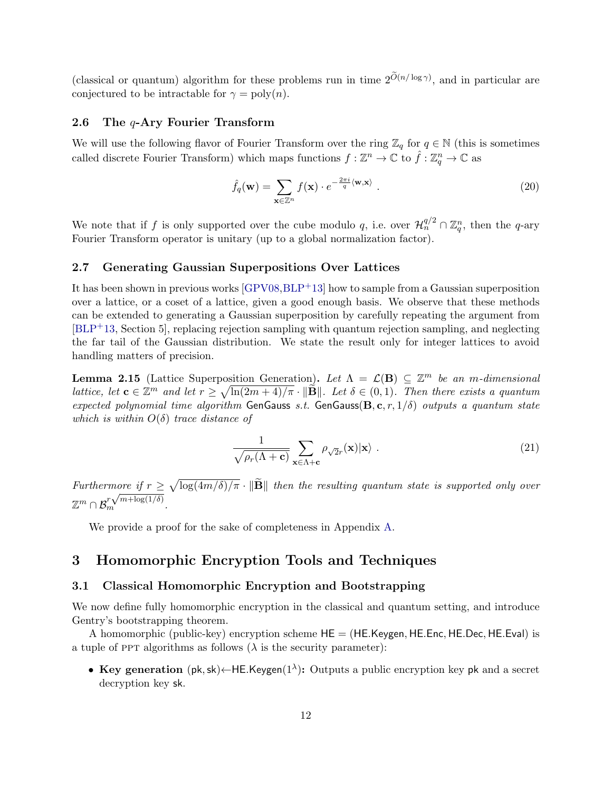(classical or quantum) algorithm for these problems run in time  $2^{O(n/\log \gamma)}$ , and in particular are conjectured to be intractable for  $\gamma = \text{poly}(n)$ .

#### <span id="page-11-2"></span>2.6 The q-Ary Fourier Transform

We will use the following flavor of Fourier Transform over the ring  $\mathbb{Z}_q$  for  $q \in \mathbb{N}$  (this is sometimes called discrete Fourier Transform) which maps functions  $f : \mathbb{Z}^n \to \mathbb{C}$  to  $\hat{f} : \mathbb{Z}_q^n \to \mathbb{C}$  as

$$
\hat{f}_q(\mathbf{w}) = \sum_{\mathbf{x} \in \mathbb{Z}^n} f(\mathbf{x}) \cdot e^{-\frac{2\pi i}{q} \langle \mathbf{w}, \mathbf{x} \rangle} . \tag{20}
$$

We note that if f is only supported over the cube modulo q, i.e. over  $\mathcal{H}_n^{q/2} \cap \mathbb{Z}_q^n$ , then the q-ary Fourier Transform operator is unitary (up to a global normalization factor).

#### <span id="page-11-1"></span>2.7 Generating Gaussian Superpositions Over Lattices

It has been shown in previous works  $\left[\text{GPV08}, \text{BLP}+13\right]$  $\left[\text{GPV08}, \text{BLP}+13\right]$  $\left[\text{GPV08}, \text{BLP}+13\right]$  how to sample from a Gaussian superposition over a lattice, or a coset of a lattice, given a good enough basis. We observe that these methods can be extended to generating a Gaussian superposition by carefully repeating the argument from [\[BLP](#page-26-9)+13, Section 5], replacing rejection sampling with quantum rejection sampling, and neglecting the far tail of the Gaussian distribution. We state the result only for integer lattices to avoid handling matters of precision.

<span id="page-11-3"></span>**Lemma 2.15** (Lattice Superposition Generation). Let  $\Lambda = \mathcal{L}(\mathbf{B}) \subseteq \mathbb{Z}^m$  be an m-dimensional lattice, let  $\mathbf{c} \in \mathbb{Z}^m$  and let  $r \geq \sqrt{\ln(2m+4)/\pi} \cdot ||\widetilde{\mathbf{B}}||$ . Let  $\delta \in (0,1)$ . Then there exists a quantum expected polynomial time algorithm GenGauss s.t. GenGauss( $B, c, r, 1/\delta$ ) outputs a quantum state which is within  $O(\delta)$  trace distance of

<span id="page-11-4"></span>
$$
\frac{1}{\sqrt{\rho_r(\Lambda + \mathbf{c})}} \sum_{\mathbf{x} \in \Lambda + \mathbf{c}} \rho_{\sqrt{2}r}(\mathbf{x}) |\mathbf{x}\rangle . \tag{21}
$$

Furthermore if  $r \geq \sqrt{\log(4m/\delta)/\pi} \cdot \|\tilde{\mathbf{B}}\|$  then the resulting quantum state is supported only over  $\mathbb{Z}^m \cap \mathcal{B}_n^r$  $\int_{m}^{m} \sqrt{m + \log(1/\delta)}$ .

We provide a proof for the sake of completeness in Appendix [A.](#page-28-8)

### <span id="page-11-0"></span>3 Homomorphic Encryption Tools and Techniques

#### 3.1 Classical Homomorphic Encryption and Bootstrapping

We now define fully homomorphic encryption in the classical and quantum setting, and introduce Gentry's bootstrapping theorem.

A homomorphic (public-key) encryption scheme HE = (HE.Keygen, HE.Enc, HE.Dec, HE.Eval) is a tuple of PPT algorithms as follows  $(\lambda)$  is the security parameter):

• Key generation (pk, sk) $\leftarrow$ HE.Keygen(1<sup> $\lambda$ </sup>): Outputs a public encryption key pk and a secret decryption key sk.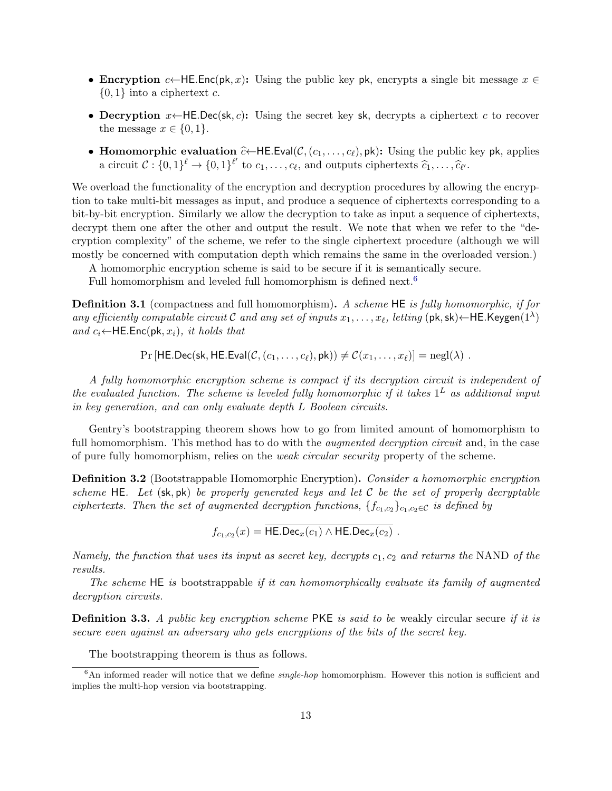- Encryption  $c \leftarrow \text{HE}$ . Enc $(\text{pk}, x)$ : Using the public key pk, encrypts a single bit message  $x \in$  $\{0,1\}$  into a ciphertext c.
- Decryption  $x \leftarrow \text{HE}.\text{Dec}(\text{sk}, c)$ : Using the secret key sk, decrypts a ciphertext c to recover the message  $x \in \{0, 1\}.$
- Homomorphic evaluation  $\hat{c}$ ←HE.Eval( $\mathcal{C},(c_1,\ldots,c_\ell)$ , pk): Using the public key pk, applies a circuit  $C: \{0,1\}^{\ell} \to \{0,1\}^{\ell'}$  to  $c_1,\ldots,c_{\ell}$ , and outputs ciphertexts  $\widehat{c}_1,\ldots,\widehat{c}_{\ell'}$ .

We overload the functionality of the encryption and decryption procedures by allowing the encryption to take multi-bit messages as input, and produce a sequence of ciphertexts corresponding to a bit-by-bit encryption. Similarly we allow the decryption to take as input a sequence of ciphertexts, decrypt them one after the other and output the result. We note that when we refer to the "decryption complexity" of the scheme, we refer to the single ciphertext procedure (although we will mostly be concerned with computation depth which remains the same in the overloaded version.)

A homomorphic encryption scheme is said to be secure if it is semantically secure.

Full homomorphism and leveled full homomorphism is defined next.<sup>[6](#page-12-0)</sup>

**Definition 3.1** (compactness and full homomorphism). A scheme HE is fully homomorphic, if for any efficiently computable circuit  $C$  and any set of inputs  $x_1, \ldots, x_\ell$ , letting  $(\mathsf{pk}, \mathsf{sk}) \leftarrow \mathsf{HE}.\mathsf{Keygen}(1^\lambda)$ and  $c_i \leftarrow \textsf{HE}.\textsf{Enc}(\textsf{pk}, x_i),$  it holds that

$$
\Pr[\mathsf{HE}.\mathsf{Dec}(\mathsf{sk},\mathsf{HE}.\mathsf{Eval}(\mathcal{C},(c_1,\ldots,c_\ell),\mathsf{pk})) \neq \mathcal{C}(x_1,\ldots,x_\ell)] = \mathsf{negl}(\lambda) .
$$

A fully homomorphic encryption scheme is compact if its decryption circuit is independent of the evaluated function. The scheme is leveled fully homomorphic if it takes  $1^L$  as additional input in key generation, and can only evaluate depth L Boolean circuits.

Gentry's bootstrapping theorem shows how to go from limited amount of homomorphism to full homomorphism. This method has to do with the *augmented decryption circuit* and, in the case of pure fully homomorphism, relies on the weak circular security property of the scheme.

Definition 3.2 (Bootstrappable Homomorphic Encryption). Consider a homomorphic encryption scheme  $HE$ . Let  $(\mathsf{sk}, \mathsf{pk})$  be properly generated keys and let  $C$  be the set of properly decryptable ciphertexts. Then the set of augmented decryption functions,  $\{f_{c_1,c_2}\}_{{c_1,c_2}\in\mathcal{C}}$  is defined by

 $f_{c_1,c_2}(x) = \mathsf{HE}.\mathsf{Dec}_x(c_1) \wedge \mathsf{HE}.\mathsf{Dec}_x(c_2)$ .

Namely, the function that uses its input as secret key, decrypts  $c_1, c_2$  and returns the NAND of the results.

The scheme HE is bootstrappable if it can homomorphically evaluate its family of augmented decryption circuits.

**Definition 3.3.** A public key encryption scheme PKE is said to be weakly circular secure if it is secure even against an adversary who gets encryptions of the bits of the secret key.

<span id="page-12-0"></span>The bootstrapping theorem is thus as follows.

 $6$ An informed reader will notice that we define *single-hop* homomorphism. However this notion is sufficient and implies the multi-hop version via bootstrapping.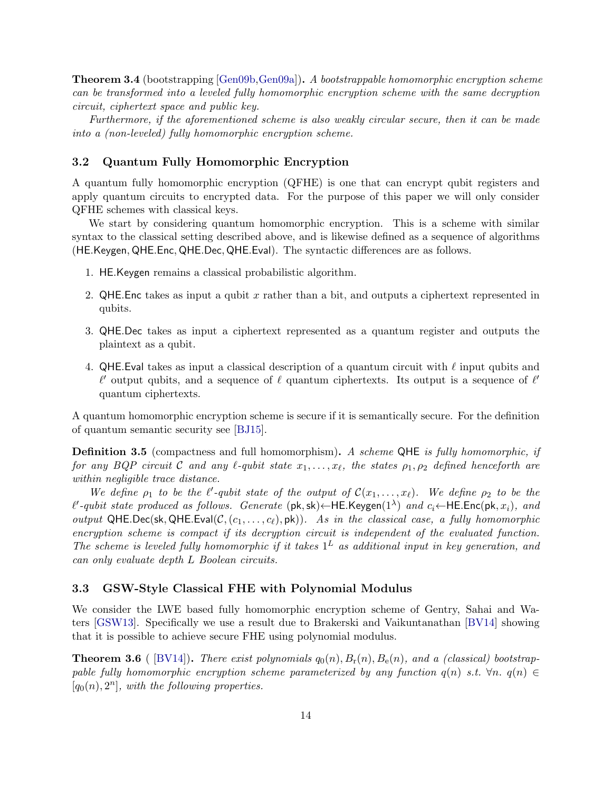<span id="page-13-1"></span>Theorem 3.4 (bootstrapping [\[Gen09b,](#page-27-0)[Gen09a\]](#page-27-4)). A bootstrappable homomorphic encryption scheme can be transformed into a leveled fully homomorphic encryption scheme with the same decryption circuit, ciphertext space and public key.

Furthermore, if the aforementioned scheme is also weakly circular secure, then it can be made into a (non-leveled) fully homomorphic encryption scheme.

#### 3.2 Quantum Fully Homomorphic Encryption

A quantum fully homomorphic encryption (QFHE) is one that can encrypt qubit registers and apply quantum circuits to encrypted data. For the purpose of this paper we will only consider QFHE schemes with classical keys.

We start by considering quantum homomorphic encryption. This is a scheme with similar syntax to the classical setting described above, and is likewise defined as a sequence of algorithms (HE.Keygen, QHE.Enc, QHE.Dec, QHE.Eval). The syntactic differences are as follows.

- 1. HE.Keygen remains a classical probabilistic algorithm.
- 2. QHE. Enc takes as input a qubit  $x$  rather than a bit, and outputs a ciphertext represented in qubits.
- 3. QHE.Dec takes as input a ciphertext represented as a quantum register and outputs the plaintext as a qubit.
- 4. QHE. Eval takes as input a classical description of a quantum circuit with  $\ell$  input qubits and  $\ell'$  output qubits, and a sequence of  $\ell$  quantum ciphertexts. Its output is a sequence of  $\ell'$ quantum ciphertexts.

A quantum homomorphic encryption scheme is secure if it is semantically secure. For the definition of quantum semantic security see [\[BJ15\]](#page-26-4).

Definition 3.5 (compactness and full homomorphism). A scheme QHE is fully homomorphic, if for any BQP circuit C and any  $\ell$ -qubit state  $x_1, \ldots, x_\ell$ , the states  $\rho_1, \rho_2$  defined henceforth are within negligible trace distance.

We define  $\rho_1$  to be the  $\ell'$ -qubit state of the output of  $\mathcal{C}(x_1, \ldots, x_\ell)$ . We define  $\rho_2$  to be the  $\ell'$ -qubit state produced as follows. Generate  $(\mathsf{pk},\mathsf{sk}) \leftarrow \mathsf{HE}.\mathsf{Keygen}(1^\lambda)$  and  $c_i \leftarrow \mathsf{HE}.\mathsf{Enc}(\mathsf{pk},x_i)$ , and output QHE.Dec(sk, QHE.Eval( $C, (c_1, \ldots, c_\ell), \mathsf{pk}$ )). As in the classical case, a fully homomorphic encryption scheme is compact if its decryption circuit is independent of the evaluated function. The scheme is leveled fully homomorphic if it takes  $1^L$  as additional input in key generation, and can only evaluate depth L Boolean circuits.

#### 3.3 GSW-Style Classical FHE with Polynomial Modulus

We consider the LWE based fully homomorphic encryption scheme of Gentry, Sahai and Waters [\[GSW13\]](#page-27-1). Specifically we use a result due to Brakerski and Vaikuntanathan [\[BV14\]](#page-26-3) showing that it is possible to achieve secure FHE using polynomial modulus.

<span id="page-13-0"></span>**Theorem 3.6** ( [\[BV14\]](#page-26-3)). There exist polynomials  $q_0(n), B_r(n), B_e(n)$ , and a (classical) bootstrappable fully homomorphic encryption scheme parameterized by any function  $q(n)$  s.t.  $\forall n$ .  $q(n) \in$  $[q_0(n), 2^n]$ , with the following properties.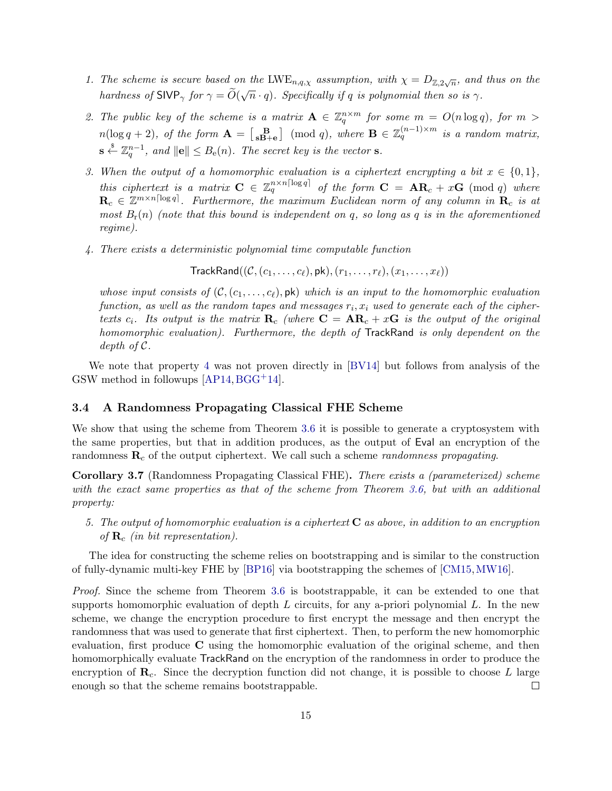- 1. The scheme is secure based on the LWE<sub>n,q, $\chi$ </sub> assumption, with  $\chi = D_{\mathbb{Z},2\sqrt{n}}$ , and thus on the hardness of SIVP<sub> $\gamma$ </sub> for  $\gamma = \widetilde{O}(\sqrt{n} \cdot q)$ . Specifically if q is polynomial then so is  $\gamma$ .
- 2. The public key of the scheme is a matrix  $\mathbf{A} \in \mathbb{Z}_q^{n \times m}$  for some  $m = O(n \log q)$ , for  $m >$  $n(\log q + 2)$ , of the form  $\mathbf{A} = \begin{bmatrix} \mathbf{B} \\ \mathbf{sB} + \mathbf{e} \end{bmatrix}$  (mod q), where  $\mathbf{B} \in \mathbb{Z}_q^{(n-1)\times m}$  is a random matrix,  $\mathbf{s} \stackrel{\hspace{0.1em}\mathsf{\scriptscriptstyle\$}}{\leftarrow} \mathbb{Z}_q^{n-1}$ , and  $\|\mathbf{e}\| \leq B_{\mathrm{e}}(n)$ . The secret key is the vector  $\mathbf{s}$ .
- 3. When the output of a homomorphic evaluation is a ciphertext encrypting a bit  $x \in \{0,1\}$ , this ciphertext is a matrix  $C \in \mathbb{Z}_q^{n \times n \lceil \log q \rceil}$  of the form  $C = AR_c + xG \pmod{q}$  where  $\mathbf{R}_c \in \mathbb{Z}^{m \times n \lceil \log q \rceil}$ . Furthermore, the maximum Euclidean norm of any column in  $\mathbf{R}_c$  is at most  $B_{r}(n)$  (note that this bound is independent on q, so long as q is in the aforementioned regime).
- <span id="page-14-0"></span>4. There exists a deterministic polynomial time computable function

 $\mathsf{TrackRand}((\mathcal{C},(c_1,\ldots,c_\ell), \mathsf{pk}),(r_1,\ldots,r_\ell),(x_1,\ldots,x_\ell))$ 

whose input consists of  $(C, (c_1, \ldots, c_\ell), \mathsf{pk})$  which is an input to the homomorphic evaluation function, as well as the random tapes and messages  $r_i, x_i$  used to generate each of the ciphertexts  $c_i$ . Its output is the matrix  $\mathbf{R}_c$  (where  $\mathbf{C} = \mathbf{A} \mathbf{R}_c + x\mathbf{G}$  is the output of the original homomorphic evaluation). Furthermore, the depth of TrackRand is only dependent on the depth of C.

We note that property [4](#page-14-0) was not proven directly in [\[BV14\]](#page-26-3) but follows from analysis of the GSW method in followups  $[AP14, BGG<sup>+</sup>14]$  $[AP14, BGG<sup>+</sup>14]$  $[AP14, BGG<sup>+</sup>14]$  $[AP14, BGG<sup>+</sup>14]$ .

#### 3.4 A Randomness Propagating Classical FHE Scheme

We show that using the scheme from Theorem [3.6](#page-13-0) it is possible to generate a cryptosystem with the same properties, but that in addition produces, as the output of Eval an encryption of the randomness  $\mathbf{R}_c$  of the output ciphertext. We call such a scheme *randomness propagating*.

<span id="page-14-1"></span>Corollary 3.7 (Randomness Propagating Classical FHE). There exists a (parameterized) scheme with the exact same properties as that of the scheme from Theorem [3.6,](#page-13-0) but with an additional property:

5. The output of homomorphic evaluation is a ciphertext  $C$  as above, in addition to an encryption of  $\mathbf{R}_c$  (in bit representation).

The idea for constructing the scheme relies on bootstrapping and is similar to the construction of fully-dynamic multi-key FHE by [\[BP16\]](#page-26-6) via bootstrapping the schemes of [\[CM15,](#page-26-5)[MW16\]](#page-28-2).

Proof. Since the scheme from Theorem [3.6](#page-13-0) is bootstrappable, it can be extended to one that supports homomorphic evaluation of depth  $L$  circuits, for any a-priori polynomial  $L$ . In the new scheme, we change the encryption procedure to first encrypt the message and then encrypt the randomness that was used to generate that first ciphertext. Then, to perform the new homomorphic evaluation, first produce C using the homomorphic evaluation of the original scheme, and then homomorphically evaluate TrackRand on the encryption of the randomness in order to produce the encryption of  $\mathbf{R}_c$ . Since the decryption function did not change, it is possible to choose L large enough so that the scheme remains bootstrappable.  $\Box$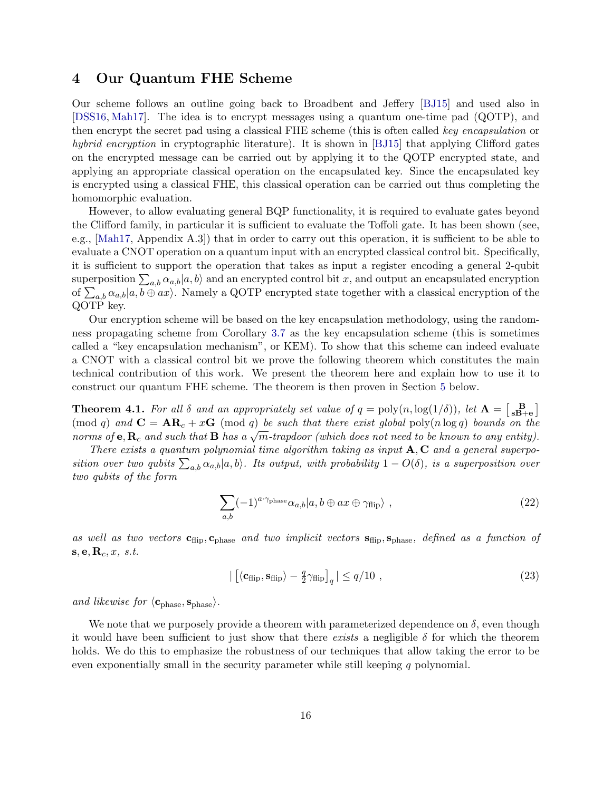# <span id="page-15-0"></span>4 Our Quantum FHE Scheme

Our scheme follows an outline going back to Broadbent and Jeffery [\[BJ15\]](#page-26-4) and used also in [\[DSS16,](#page-27-2) [Mah17\]](#page-27-3). The idea is to encrypt messages using a quantum one-time pad (QOTP), and then encrypt the secret pad using a classical FHE scheme (this is often called key encapsulation or hybrid encryption in cryptographic literature). It is shown in [\[BJ15\]](#page-26-4) that applying Clifford gates on the encrypted message can be carried out by applying it to the QOTP encrypted state, and applying an appropriate classical operation on the encapsulated key. Since the encapsulated key is encrypted using a classical FHE, this classical operation can be carried out thus completing the homomorphic evaluation.

However, to allow evaluating general BQP functionality, it is required to evaluate gates beyond the Clifford family, in particular it is sufficient to evaluate the Toffoli gate. It has been shown (see, e.g., [\[Mah17,](#page-27-3) Appendix A.3]) that in order to carry out this operation, it is sufficient to be able to evaluate a CNOT operation on a quantum input with an encrypted classical control bit. Specifically, it is sufficient to support the operation that takes as input a register encoding a general 2-qubit superposition  $\sum_{a,b} \alpha_{a,b} |a,b\rangle$  and an encrypted control bit x, and output an encapsulated encryption of  $\sum_{a,b} \alpha_{a,b}|a,b \oplus ax\rangle$ . Namely a QOTP encrypted state together with a classical encryption of the QOTP key.

Our encryption scheme will be based on the key encapsulation methodology, using the randomness propagating scheme from Corollary [3.7](#page-14-1) as the key encapsulation scheme (this is sometimes called a "key encapsulation mechanism", or KEM). To show that this scheme can indeed evaluate a CNOT with a classical control bit we prove the following theorem which constitutes the main technical contribution of this work. We present the theorem here and explain how to use it to construct our quantum FHE scheme. The theorem is then proven in Section [5](#page-16-0) below.

<span id="page-15-1"></span>**Theorem 4.1.** For all  $\delta$  and an appropriately set value of  $q = \text{poly}(n, \log(1/\delta))$ , let  $\mathbf{A} = \begin{bmatrix} \mathbf{B} \\ \mathbf{s}_{\text{He}} \end{bmatrix}$ (mod q) and  $C = AR_c + xG \pmod{q}$  be such that there exist global poly $(n \log q)$  bounds on the (in and  $C = AR_c + X$  (in and  $q$ ) be such that there exist groot poly(h  $log q$ ) bounds on the norms of **e**,  $R_c$  and such that **B** has a  $\sqrt{m}$ -trapdoor (which does not need to be known to any entity).

There exists a quantum polynomial time algorithm taking as input  $A, C$  and a general superposition over two qubits  $\sum_{a,b} \alpha_{a,b} |a,b\rangle$ . Its output, with probability  $1 - O(\delta)$ , is a superposition over two qubits of the form

$$
\sum_{a,b} (-1)^{a \cdot \gamma_{\text{phase}}} \alpha_{a,b} | a, b \oplus ax \oplus \gamma_{\text{flip}} \rangle ,
$$
 (22)

as well as two vectors  $\mathbf{c}_{\text{flip}}, \mathbf{c}_{\text{phase}}$  and two implicit vectors  $\mathbf{s}_{\text{flip}}, \mathbf{s}_{\text{phase}}$ , defined as a function of  $\mathbf{s}, \mathbf{e}, \mathbf{R}_c, x, s.t.$ 

$$
|\left[ \langle \mathbf{c}_{\text{flip}}, \mathbf{s}_{\text{flip}} \rangle - \frac{q}{2} \gamma_{\text{flip}} \right]_q | \le q/10 , \qquad (23)
$$

and likewise for  $\langle c_{\text{phase}}, s_{\text{phase}} \rangle$ .

We note that we purposely provide a theorem with parameterized dependence on  $\delta$ , even though it would have been sufficient to just show that there exists a negligible  $\delta$  for which the theorem holds. We do this to emphasize the robustness of our techniques that allow taking the error to be even exponentially small in the security parameter while still keeping q polynomial.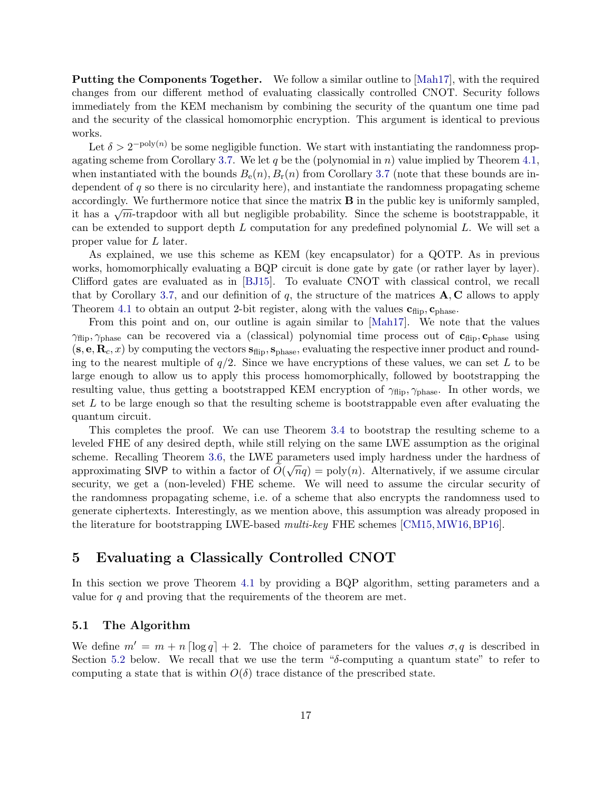Putting the Components Together. We follow a similar outline to [\[Mah17\]](#page-27-3), with the required changes from our different method of evaluating classically controlled CNOT. Security follows immediately from the KEM mechanism by combining the security of the quantum one time pad and the security of the classical homomorphic encryption. This argument is identical to previous works.

Let  $\delta > 2^{-\text{poly}(n)}$  be some negligible function. We start with instantiating the randomness prop-agating scheme from Corollary [3.7.](#page-14-1) We let  $q$  be the (polynomial in  $n$ ) value implied by Theorem [4.1,](#page-15-1) when instantiated with the bounds  $B_e(n)$ ,  $B_r(n)$  from Corollary [3.7](#page-14-1) (note that these bounds are independent of  $q$  so there is no circularity here), and instantiate the randomness propagating scheme accordingly. We furthermore notice that since the matrix B in the public key is uniformly sampled, accordingly. We furthermore notice that since the matrix **B** in the public key is unnormly sampled, it has a  $\sqrt{m}$ -trapdoor with all but negligible probability. Since the scheme is bootstrappable, it can be extended to support depth  $L$  computation for any predefined polynomial  $L$ . We will set a proper value for L later.

As explained, we use this scheme as KEM (key encapsulator) for a QOTP. As in previous works, homomorphically evaluating a BQP circuit is done gate by gate (or rather layer by layer). Clifford gates are evaluated as in [\[BJ15\]](#page-26-4). To evaluate CNOT with classical control, we recall that by Corollary [3.7,](#page-14-1) and our definition of q, the structure of the matrices  $\mathbf{A}, \mathbf{C}$  allows to apply Theorem [4.1](#page-15-1) to obtain an output 2-bit register, along with the values  $c_{\text{flip}}$ ,  $c_{\text{phase}}$ .

From this point and on, our outline is again similar to [\[Mah17\]](#page-27-3). We note that the values  $\gamma_{\rm flip}, \gamma_{\rm phase}$  can be recovered via a (classical) polynomial time process out of  $c_{\rm flip}, c_{\rm phase}$  using  $(\mathbf{s}, \mathbf{e}, \mathbf{R}_c, x)$  by computing the vectors  $\mathbf{s}_{\text{flip}}, \mathbf{s}_{\text{phase}}$ , evaluating the respective inner product and rounding to the nearest multiple of  $q/2$ . Since we have encryptions of these values, we can set L to be large enough to allow us to apply this process homomorphically, followed by bootstrapping the resulting value, thus getting a bootstrapped KEM encryption of  $\gamma_{\text{flip}}, \gamma_{\text{phase}}$ . In other words, we set  $L$  to be large enough so that the resulting scheme is bootstrappable even after evaluating the quantum circuit.

This completes the proof. We can use Theorem [3.4](#page-13-1) to bootstrap the resulting scheme to a leveled FHE of any desired depth, while still relying on the same LWE assumption as the original scheme. Recalling Theorem [3.6,](#page-13-0) the LWE parameters used imply hardness under the hardness of approximating SIVP to within a factor of  $O(\sqrt{n}q) = \text{poly}(n)$ . Alternatively, if we assume circular security, we get a (non-leveled) FHE scheme. We will need to assume the circular security of the randomness propagating scheme, i.e. of a scheme that also encrypts the randomness used to generate ciphertexts. Interestingly, as we mention above, this assumption was already proposed in the literature for bootstrapping LWE-based multi-key FHE schemes [\[CM15,](#page-26-5) [MW16,](#page-28-2) [BP16\]](#page-26-6).

# <span id="page-16-0"></span>5 Evaluating a Classically Controlled CNOT

In this section we prove Theorem [4.1](#page-15-1) by providing a BQP algorithm, setting parameters and a value for  $q$  and proving that the requirements of the theorem are met.

#### 5.1 The Algorithm

We define  $m' = m + n \lceil \log q \rceil + 2$ . The choice of parameters for the values  $\sigma, q$  is described in Section [5.2](#page-18-0) below. We recall that we use the term "δ-computing a quantum state" to refer to computing a state that is within  $O(\delta)$  trace distance of the prescribed state.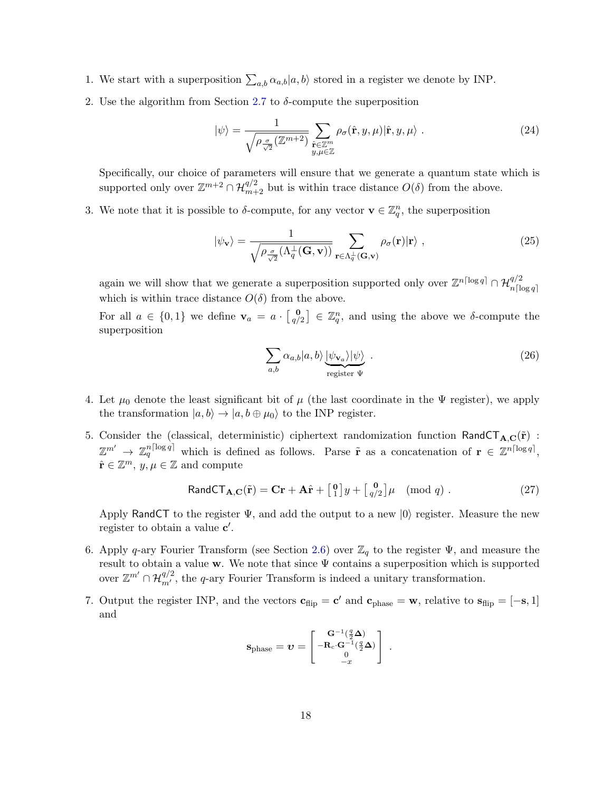- 1. We start with a superposition  $\sum_{a,b} \alpha_{a,b} |a,b\rangle$  stored in a register we denote by INP.
- 2. Use the algorithm from Section [2.7](#page-11-1) to  $\delta$ -compute the superposition

$$
|\psi\rangle = \frac{1}{\sqrt{\rho \frac{\sigma}{\sqrt{2}}} (\mathbb{Z}^{m+2})} \sum_{\substack{\hat{\mathbf{r}} \in \mathbb{Z}^m \\ y, \mu \in \mathbb{Z}}} \rho_{\sigma}(\hat{\mathbf{r}}, y, \mu) |\hat{\mathbf{r}}, y, \mu\rangle . \tag{24}
$$

Specifically, our choice of parameters will ensure that we generate a quantum state which is supported only over  $\mathbb{Z}^{m+2} \cap \mathcal{H}_{m+2}^{q/2}$  but is within trace distance  $O(\delta)$  from the above.

<span id="page-17-0"></span>3. We note that it is possible to  $\delta$ -compute, for any vector  $\mathbf{v} \in \mathbb{Z}_q^n$ , the superposition

$$
|\psi_{\mathbf{v}}\rangle = \frac{1}{\sqrt{\rho_{\frac{\sigma}{\sqrt{2}}}\left(\Lambda_q^{\perp}(\mathbf{G}, \mathbf{v})\right)}} \sum_{\mathbf{r} \in \Lambda_q^{\perp}(\mathbf{G}, \mathbf{v})} \rho_{\sigma}(\mathbf{r}) |\mathbf{r}\rangle ,
$$
 (25)

again we will show that we generate a superposition supported only over  $\mathbb{Z}^{n\lceil \log q \rceil} \cap \mathcal{H}_{n\lceil \log q \rceil}^{q/2}$ which is within trace distance  $O(\delta)$  from the above.

For all  $a \in \{0,1\}$  we define  $\mathbf{v}_a = a \cdot \begin{bmatrix} 0 \\ q/2 \end{bmatrix} \in \mathbb{Z}_q^n$ , and using the above we  $\delta$ -compute the superposition

$$
\sum_{a,b} \alpha_{a,b} |a,b\rangle \underbrace{|\psi_{\mathbf{v}_a}\rangle|\psi\rangle}_{\text{register }\Psi}.
$$
 (26)

- <span id="page-17-1"></span>4. Let  $\mu_0$  denote the least significant bit of  $\mu$  (the last coordinate in the  $\Psi$  register), we apply the transformation  $|a, b\rangle \rightarrow |a, b \oplus \mu_0\rangle$  to the INP register.
- <span id="page-17-2"></span>5. Consider the (classical, deterministic) ciphertext randomization function RandCT<sub>A,C</sub>( $\tilde{r}$ ) :  $\mathbb{Z}^{m'} \to \mathbb{Z}_q^{n\lceil \log q \rceil}$  which is defined as follows. Parse  $\tilde{\mathbf{r}}$  as a concatenation of  $\mathbf{r} \in \mathbb{Z}^{n\lceil \log q \rceil}$ ,  $\hat{\mathbf{r}} \in \mathbb{Z}^m$ ,  $y, \mu \in \mathbb{Z}$  and compute

$$
\mathsf{RandCT}_{\mathbf{A},\mathbf{C}}(\tilde{\mathbf{r}}) = \mathbf{C}\mathbf{r} + \mathbf{A}\hat{\mathbf{r}} + \begin{bmatrix} 0 \\ 1 \end{bmatrix} y + \begin{bmatrix} 0 \\ q/2 \end{bmatrix} \mu \pmod{q} . \tag{27}
$$

Apply RandCT to the register  $\Psi$ , and add the output to a new  $|0\rangle$  register. Measure the new register to obtain a value  $c'$ .

- <span id="page-17-3"></span>6. Apply q-ary Fourier Transform (see Section [2.6\)](#page-11-2) over  $\mathbb{Z}_q$  to the register  $\Psi$ , and measure the result to obtain a value w. We note that since Ψ contains a superposition which is supported over  $\mathbb{Z}^{m'} \cap \mathcal{H}_{m'}^{q/2}$ , the q-ary Fourier Transform is indeed a unitary transformation.
- 7. Output the register INP, and the vectors  $\mathbf{c}_{\text{flip}} = \mathbf{c}'$  and  $\mathbf{c}_{\text{phase}} = \mathbf{w}$ , relative to  $\mathbf{s}_{\text{flip}} = [-\mathbf{s}, 1]$ and

$$
\mathbf{s}_{\text{phase}} = \boldsymbol{v} = \begin{bmatrix} \mathbf{G}^{-1}(\frac{q}{2}\boldsymbol{\Delta}) \\ -\mathbf{R}_c \cdot \mathbf{G}^{-1}(\frac{q}{2}\boldsymbol{\Delta}) \\ 0 \\ -x \end{bmatrix} \ .
$$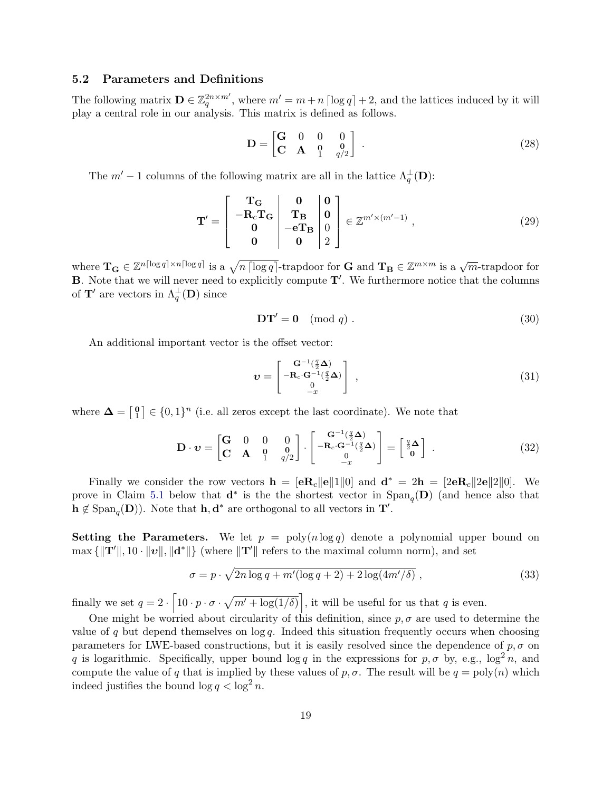#### <span id="page-18-0"></span>5.2 Parameters and Definitions

The following matrix  $\mathbf{D} \in \mathbb{Z}_q^{2n \times m'}$ , where  $m' = m + n \lceil \log q \rceil + 2$ , and the lattices induced by it will play a central role in our analysis. This matrix is defined as follows.

<span id="page-18-1"></span>
$$
\mathbf{D} = \begin{bmatrix} \mathbf{G} & 0 & 0 & 0 \\ \mathbf{C} & \mathbf{A} & \mathbf{0} & \mathbf{0} \\ \mathbf{C} & \mathbf{A} & \mathbf{0} & \mathbf{0} \end{bmatrix} . \tag{28}
$$

The  $m'-1$  columns of the following matrix are all in the lattice  $\Lambda_q^{\perp}(\mathbf{D})$ :

$$
\mathbf{T}' = \begin{bmatrix} \mathbf{T_G} & \mathbf{0} & \mathbf{0} \\ -\mathbf{R}_c \mathbf{T_G} & \mathbf{T_B} & \mathbf{0} \\ \mathbf{0} & -\mathbf{e} \mathbf{T_B} & 0 \\ \mathbf{0} & \mathbf{0} & 2 \end{bmatrix} \in \mathbb{Z}^{m' \times (m'-1)},
$$
(29)

where  $\mathbf{T_G} \in \mathbb{Z}^{n\lceil \log q \rceil \times n \lceil \log q \rceil}$  is a  $\sqrt{n \lceil \log q \rceil}$ -trapdoor for G and  $\mathbf{T_B} \in \mathbb{Z}^{m \times m}$  is a  $\sqrt{m}$ -trapdoor for **B**. Note that we will never need to explicitly compute  $T'$ . We furthermore notice that the columns of T' are vectors in  $\Lambda_q^{\perp}(\mathbf{D})$  since

$$
\mathbf{DT}' = \mathbf{0} \pmod{q} . \tag{30}
$$

An additional important vector is the offset vector:

$$
\mathbf{v} = \begin{bmatrix} \mathbf{G}^{-1}(\frac{q}{2}\boldsymbol{\Delta}) \\ -\mathbf{R}_c \cdot \mathbf{G}^{-1}(\frac{q}{2}\boldsymbol{\Delta}) \\ 0 \\ -x \end{bmatrix} ,
$$
 (31)

where  $\mathbf{\Delta} = \begin{bmatrix} 0 \\ 1 \end{bmatrix} \in \{0,1\}^n$  (i.e. all zeros except the last coordinate). We note that

$$
\mathbf{D} \cdot \mathbf{v} = \begin{bmatrix} \mathbf{G} & 0 & 0 & 0 \\ \mathbf{C} & \mathbf{A} & 0 & 0 \\ \mathbf{C} & \mathbf{A} & 0 & q/2 \end{bmatrix} \cdot \begin{bmatrix} \mathbf{G}^{-1}(\frac{q}{2}\mathbf{\Delta}) \\ -\mathbf{R}_c \cdot \mathbf{G}^{-1}(\frac{q}{2}\mathbf{\Delta}) \\ 0 \\ -x \end{bmatrix} = \begin{bmatrix} \frac{q}{2}\mathbf{\Delta} \\ 0 \end{bmatrix} .
$$
 (32)

Finally we consider the row vectors  $\mathbf{h} = [\mathbf{e} \mathbf{R}_c ||\mathbf{e} || 1 || 0]$  and  $\mathbf{d}^* = 2\mathbf{h} = [2\mathbf{e} \mathbf{R}_c || 2\mathbf{e} || 2 || 0]$ . We prove in Claim [5.1](#page-19-0) below that  $\mathbf{d}^*$  is the the shortest vector in  $\text{Span}_q(\mathbf{D})$  (and hence also that  $\mathbf{h} \notin \text{Span}_{q}(\mathbf{D})$ . Note that  $\mathbf{h}, \mathbf{d}^*$  are orthogonal to all vectors in  $\mathbf{T}'$ .

**Setting the Parameters.** We let  $p = \text{poly}(n \log q)$  denote a polynomial upper bound on  $\max\{\|\mathbf{T}'\|, 10 \cdot \|\mathbf{v}\|, \|\mathbf{d}^*\|\}$  (where  $\|\mathbf{T}'\|$  refers to the maximal column norm), and set

$$
\sigma = p \cdot \sqrt{2n \log q + m'(\log q + 2) + 2 \log(4m'/\delta)},\tag{33}
$$

finally we set  $q = 2 \cdot \left[10 \cdot p \cdot \sigma \cdot \sqrt{m' + \log(1/\delta)}\right]$ , it will be useful for us that q is even.

One might be worried about circularity of this definition, since  $p, \sigma$  are used to determine the value of q but depend themselves on  $\log q$ . Indeed this situation frequently occurs when choosing parameters for LWE-based constructions, but it is easily resolved since the dependence of  $p, \sigma$  on q is logarithmic. Specifically, upper bound  $\log q$  in the expressions for p,  $\sigma$  by, e.g.,  $\log^2 n$ , and compute the value of q that is implied by these values of  $p, \sigma$ . The result will be  $q = \text{poly}(n)$  which indeed justifies the bound  $\log q < \log^2 n$ .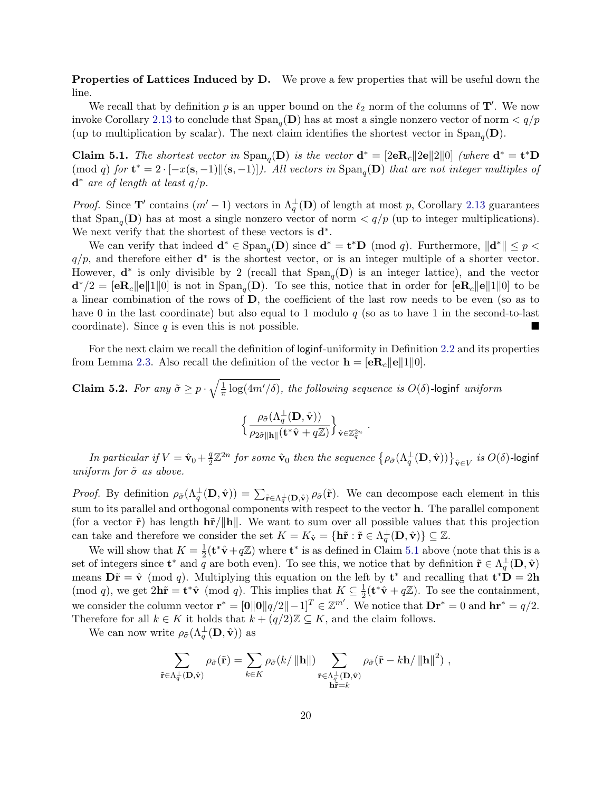Properties of Lattices Induced by D. We prove a few properties that will be useful down the line.

We recall that by definition p is an upper bound on the  $\ell_2$  norm of the columns of **T'**. We now invoke Corollary [2.13](#page-10-0) to conclude that  $\text{Span}_q(\mathbf{D})$  has at most a single nonzero vector of norm  $< q/p$ (up to multiplication by scalar). The next claim identifies the shortest vector in  $\text{Span}_q(D)$ .

<span id="page-19-0"></span>**Claim 5.1.** The shortest vector in  $\text{Span}_q(\mathbf{D})$  is the vector  $\mathbf{d}^* = [2e\mathbf{R}_c||2e||2||0]$  (where  $\mathbf{d}^* = \mathbf{t}^* \mathbf{D}$  $p(\text{mod } q)$  for  $\mathbf{t}^* = 2 \cdot [-x(\mathbf{s}, -1) | (\mathbf{s}, -1)]$ . All vectors in  $\text{Span}_q(\mathbf{D})$  that are not integer multiples of  $\mathbf{d}^*$  are of length at least  $q/p$ .

*Proof.* Since **T**' contains  $(m' - 1)$  vectors in  $\Lambda_q^{\perp}(\mathbf{D})$  of length at most p, Corollary [2.13](#page-10-0) guarantees that  $\text{Span}_q(D)$  has at most a single nonzero vector of norm  $\langle q/p \rangle$  (up to integer multiplications). We next verify that the shortest of these vectors is  $\mathbf{d}^*$ .

We can verify that indeed  $\mathbf{d}^* \in \text{Span}_q(\mathbf{D})$  since  $\mathbf{d}^* = \mathbf{t}^* \mathbf{D} \pmod{q}$ . Furthermore,  $\|\mathbf{d}^*\| \leq p <$  $q/p$ , and therefore either  $\mathbf{d}^*$  is the shortest vector, or is an integer multiple of a shorter vector. However,  $\mathbf{d}^*$  is only divisible by 2 (recall that  $\text{Span}_q(\mathbf{D})$  is an integer lattice), and the vector  $\mathbf{d}^*/2 = [\mathbf{e} \mathbf{R}_c || \mathbf{e} || 1 || 0]$  is not in  $\text{Span}_q(\mathbf{D})$ . To see this, notice that in order for  $[\mathbf{e} \mathbf{R}_c || \mathbf{e} || 1 || 0]$  to be a linear combination of the rows of D, the coefficient of the last row needs to be even (so as to have 0 in the last coordinate) but also equal to 1 modulo  $q$  (so as to have 1 in the second-to-last coordinate). Since  $q$  is even this is not possible.

For the next claim we recall the definition of loginf-uniformity in Definition [2.2](#page-6-2) and its properties from Lemma [2.3.](#page-6-3) Also recall the definition of the vector  $\mathbf{h} = [\mathbf{e} \mathbf{R}_c || \mathbf{e} || 1 || 0].$ 

<span id="page-19-1"></span>Claim 5.2. For any  $\tilde{\sigma} \geq p \cdot \sqrt{\frac{1}{\pi}}$  $\frac{1}{\pi}$  log(4m'/ $\delta$ ), the following sequence is  $O(\delta)$ -loginf uniform

$$
\Big\{\frac{\rho_{\tilde{\sigma}}(\Lambda^{\perp}_q(\mathbf{D},\hat{\mathbf{v}}))}{\rho_{2\tilde{\sigma}}\Vert\mathbf{h}\Vert(\mathbf{t}^*\hat{\mathbf{v}}+q\mathbb{Z})}\Big\}_{\hat{\mathbf{v}}\in\mathbb{Z}_q^{2n}}
$$

.

In particular if  $V = \hat{\mathbf{v}}_0 + \frac{q}{2}$  $\frac{q}{2}\mathbb{Z}^{2n}$  for some  $\hat{\mathbf{v}}_0$  then the sequence  $\big\{\rho_{\tilde{\sigma}}(\Lambda_q^{\perp}(\mathbf{D},\hat{\mathbf{v}}))\big\}_{\hat{\mathbf{v}}\in V}$  is  $O(\delta)$ -loginf uniform for  $\tilde{\sigma}$  as above.

*Proof.* By definition  $\rho_{\tilde{\sigma}}(\Lambda_q^{\perp}(\mathbf{D}, \hat{\mathbf{v}})) = \sum_{\tilde{\mathbf{r}} \in \Lambda_q^{\perp}(\mathbf{D}, \hat{\mathbf{v}})} \rho_{\tilde{\sigma}}(\tilde{\mathbf{r}})$ . We can decompose each element in this sum to its parallel and orthogonal components with respect to the vector **h**. The parallel component (for a vector  $\tilde{\mathbf{r}}$ ) has length  $\hat{\mathbf{n}}$ <sup>*k*</sup>|||**h**||. We want to sum over all possible values that this projection can take and therefore we consider the set  $K = K_{\hat{\mathbf{v}}} = {\{\mathbf{h}\tilde{\mathbf{r}} : \tilde{\mathbf{r}} \in \Lambda_q^{\perp}(\mathbf{D}, \hat{\mathbf{v}})\}\subseteq \mathbb{Z}}$ .

We will show that  $K=\frac{1}{2}$  $\frac{1}{2}(\mathbf{t}^*\hat{\mathbf{v}}+q\mathbb{Z})$  where  $\mathbf{t}^*$  is as defined in Claim [5.1](#page-19-0) above (note that this is a set of integers since  $\mathbf{t}^*$  and  $\overline{q}$  are both even). To see this, we notice that by definition  $\tilde{\mathbf{r}} \in \Lambda_q^{\perp}(\mathbf{D}, \hat{\mathbf{v}})$ means  $\mathbf{D}\tilde{\mathbf{r}} = \hat{\mathbf{v}} \pmod{q}$ . Multiplying this equation on the left by  $\mathbf{t}^*$  and recalling that  $\mathbf{t}^*\mathbf{D} = 2\mathbf{h}$ (mod q), we get  $2\mathbf{h}\tilde{\mathbf{r}} = \mathbf{t}^*\hat{\mathbf{v}}$  (mod q). This implies that  $K \subseteq \frac{1}{2}$  $\frac{1}{2}(\mathbf{t}^*\hat{\mathbf{v}}+q\mathbb{Z})$ . To see the containment, we consider the column vector  $\mathbf{r}^* = [\mathbf{0} || \mathbf{0} || q/2 || -1]^T \in \mathbb{Z}^{m'}$ . We notice that  $\mathbf{Dr}^* = 0$  and  $\mathbf{hr}^* = q/2$ . Therefore for all  $k \in K$  it holds that  $k + (q/2) \mathbb{Z} \subseteq K$ , and the claim follows.

We can now write  $\rho_{\tilde{\sigma}}(\Lambda_q^{\perp}(\mathbf{D}, \hat{\mathbf{v}}))$  as

$$
\sum_{\tilde{\mathbf{r}} \in \Lambda_{q}^{\perp}(\mathbf{D}, \hat{\mathbf{v}})} \rho_{\tilde{\sigma}}(\tilde{\mathbf{r}}) = \sum_{k \in K} \rho_{\tilde{\sigma}}(k/\|\mathbf{h}\|) \sum_{\tilde{\mathbf{r}} \in \Lambda_{q}^{\perp}(\mathbf{D}, \hat{\mathbf{v}})} \rho_{\tilde{\sigma}}(\tilde{\mathbf{r}} - k\mathbf{h}/\|\mathbf{h}\|^{2}) ,
$$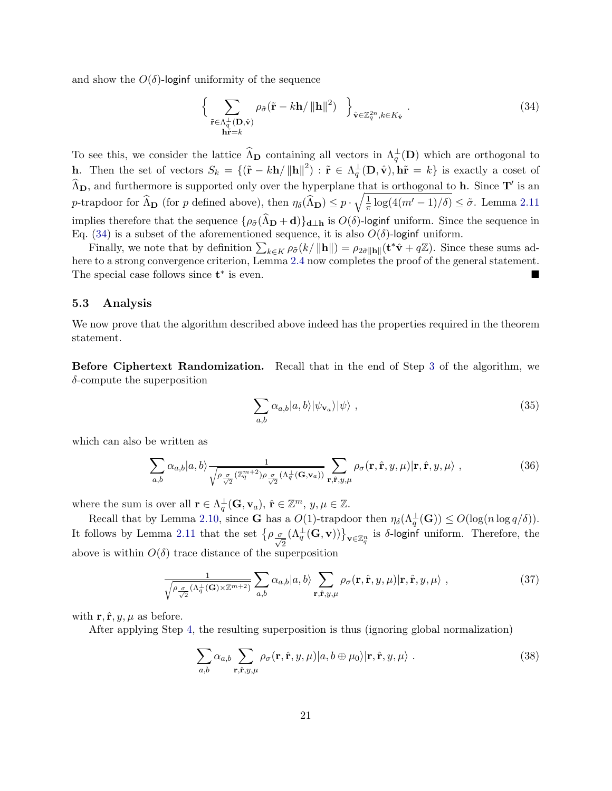and show the  $O(\delta)$ -loginf uniformity of the sequence

<span id="page-20-0"></span>
$$
\left\{ \sum_{\substack{\tilde{\mathbf{r}} \in \Lambda_q^{\perp}(\mathbf{D}, \hat{\mathbf{v}}) \\ \mathbf{h}\tilde{\mathbf{r}} = k}} \rho_{\tilde{\sigma}}(\tilde{\mathbf{r}} - k\mathbf{h}/\left\| \mathbf{h} \right\|^2) \right\}_{\hat{\mathbf{v}} \in \mathbb{Z}_q^{2n}, k \in K_{\hat{\mathbf{v}}}}.
$$
\n(34)

To see this, we consider the lattice  $\widehat{\Lambda}_{\mathbf{D}}$  containing all vectors in  $\Lambda_q^{\perp}(\mathbf{D})$  which are orthogonal to **h**. Then the set of vectors  $S_k = \{(\tilde{\mathbf{r}} - k\mathbf{h}/\|\mathbf{h}\|^2) : \tilde{\mathbf{r}} \in \Lambda_q^{\perp}(\mathbf{D}, \hat{\mathbf{v}}), \mathbf{h}\tilde{\mathbf{r}} = k\}$  is exactly a coset of  $\widehat{\Lambda}_{\mathbf{D}}$ , and furthermore is supported only over the hyperplane that is orthogonal to h. Since  $\mathbf{T}'$  is an *p*-trapdoor for  $\widehat{\Lambda}_{\mathbf{D}}$  (for *p* defined above), then  $\eta_{\delta}(\widehat{\Lambda}_{\mathbf{D}}) \leq p \cdot \sqrt{\frac{1}{\pi}}$  $\frac{1}{\pi} \log(4(m'-1)/\delta) \leq \tilde{\sigma}$ . Lemma [2.11](#page-9-2) implies therefore that the sequence  $\{\rho_{\sigma}(\widehat{\Lambda}_{D} + d)\}_{{\bf d} \perp {\bf h}}$  is  $O(\delta)$ -loginf uniform. Since the sequence in Eq. [\(34\)](#page-20-0) is a subset of the aforementioned sequence, it is also  $O(\delta)$ -loginf uniform.

Finally, we note that by definition  $\sum_{k \in K} \rho_{\tilde{\sigma}}(k/ \|\mathbf{h}\|) = \rho_{2\tilde{\sigma}\|\mathbf{h}\|}(\mathbf{t}^* \hat{\mathbf{v}} + q\mathbb{Z})$ . Since these sums adhere to a strong convergence criterion, Lemma [2.4](#page-7-0) now completes the proof of the general statement. The special case follows since  $t^*$ is even.

#### 5.3 Analysis

We now prove that the algorithm described above indeed has the properties required in the theorem statement.

Before Ciphertext Randomization. Recall that in the end of Step [3](#page-17-0) of the algorithm, we  $\delta$ -compute the superposition

$$
\sum_{a,b} \alpha_{a,b} |a,b\rangle |\psi_{\mathbf{v}_a}\rangle |\psi\rangle , \qquad (35)
$$

which can also be written as

$$
\sum_{a,b} \alpha_{a,b} |a,b\rangle \frac{1}{\sqrt{\rho_{\frac{\sigma}{\sqrt{2}}}(\mathbb{Z}_q^{m+2})\rho_{\frac{\sigma}{\sqrt{2}}}(\Lambda_q^{\perp}(\mathbf{G},\mathbf{v}_a))}} \sum_{\mathbf{r},\hat{\mathbf{r}},y,\mu} \rho_{\sigma}(\mathbf{r},\hat{\mathbf{r}},y,\mu) |\mathbf{r},\hat{\mathbf{r}},y,\mu\rangle ,
$$
(36)

where the sum is over all  $\mathbf{r} \in \Lambda_q^{\perp}(\mathbf{G}, \mathbf{v}_a), \, \hat{\mathbf{r}} \in \mathbb{Z}^m$ ,  $y, \mu \in \mathbb{Z}$ .

Recall that by Lemma [2.10,](#page-9-3) since **G** has a  $O(1)$ -trapdoor then  $\eta_{\delta}(\Lambda_q^{\perp}(\mathbf{G})) \leq O(\log(n \log q/\delta)).$ It follows by Lemma [2.11](#page-9-2) that the set  $\left\{\rho \frac{\sigma}{\sqrt{2}} \right\}$  $(\Lambda_q^{\perp}({\bf G},{\bf v}))\big\}_{{\bf v}\in\mathbb{Z}_q^n}$  is  $\delta$ -loginf uniform. Therefore, the above is within  $O(\delta)$  trace distance of the superposition

$$
\frac{1}{\sqrt{\rho \frac{\sigma}{\sqrt{2}}(\Lambda_q^{\perp}(\mathbf{G}) \times \mathbb{Z}^{m+2})}} \sum_{a,b} \alpha_{a,b} |a,b\rangle \sum_{\mathbf{r}, \hat{\mathbf{r}}, y, \mu} \rho_{\sigma}(\mathbf{r}, \hat{\mathbf{r}}, y, \mu) |\mathbf{r}, \hat{\mathbf{r}}, y, \mu\rangle ,
$$
\n(37)

with  $\mathbf{r}, \hat{\mathbf{r}}, y, \mu$  as before.

After applying Step [4,](#page-17-1) the resulting superposition is thus (ignoring global normalization)

$$
\sum_{a,b} \alpha_{a,b} \sum_{\mathbf{r}, \hat{\mathbf{r}}, y, \mu} \rho_{\sigma}(\mathbf{r}, \hat{\mathbf{r}}, y, \mu) |a, b \oplus \mu_0 \rangle |\mathbf{r}, \hat{\mathbf{r}}, y, \mu \rangle . \tag{38}
$$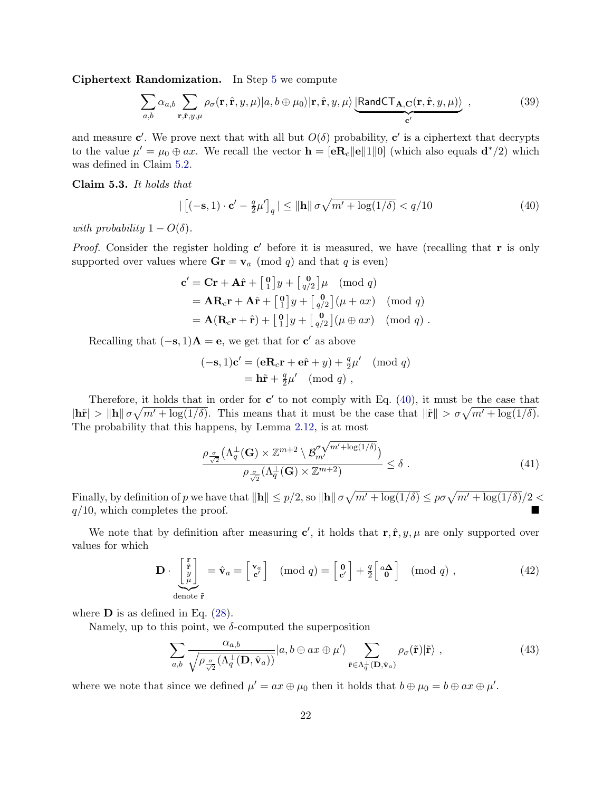Ciphertext Randomization. In Step [5](#page-17-2) we compute

$$
\sum_{a,b} \alpha_{a,b} \sum_{\mathbf{r}, \hat{\mathbf{r}}, y, \mu} \rho_{\sigma}(\mathbf{r}, \hat{\mathbf{r}}, y, \mu) |a, b \oplus \mu_0\rangle |\mathbf{r}, \hat{\mathbf{r}}, y, \mu\rangle \underbrace{|\text{RandCT}_{\mathbf{A},\mathbf{C}}(\mathbf{r}, \hat{\mathbf{r}}, y, \mu)\rangle}_{\mathbf{c}'}, \qquad (39)
$$

and measure  $c'$ . We prove next that with all but  $O(\delta)$  probability,  $c'$  is a ciphertext that decrypts to the value  $\mu' = \mu_0 \oplus ax$ . We recall the vector  $\mathbf{h} = [\mathbf{e} \mathbf{R}_c ||\mathbf{e}||1||0]$  (which also equals  $\mathbf{d}^*/2$ ) which was defined in Claim [5.2.](#page-19-1)

<span id="page-21-2"></span>Claim 5.3. It holds that

<span id="page-21-0"></span>
$$
\left| \left[ (-\mathbf{s}, 1) \cdot \mathbf{c}' - \frac{q}{2} \mu' \right]_q \right| \le \|\mathbf{h}\| \sigma \sqrt{m' + \log(1/\delta)} < q/10 \tag{40}
$$

with probability  $1 - O(\delta)$ .

*Proof.* Consider the register holding  $c'$  before it is measured, we have (recalling that r is only supported over values where  $\mathbf{Gr} = \mathbf{v}_a \pmod{q}$  and that q is even)

$$
\mathbf{c}' = \mathbf{C}\mathbf{r} + \mathbf{A}\hat{\mathbf{r}} + \begin{bmatrix} 0 \\ 1 \end{bmatrix} y + \begin{bmatrix} 0 \\ q/2 \end{bmatrix} \mu \pmod{q}
$$
  
=  $\mathbf{A}\mathbf{R}_c\mathbf{r} + \mathbf{A}\hat{\mathbf{r}} + \begin{bmatrix} 0 \\ 1 \end{bmatrix} y + \begin{bmatrix} 0 \\ q/2 \end{bmatrix} (\mu + ax) \pmod{q}$   
=  $\mathbf{A}(\mathbf{R}_c\mathbf{r} + \hat{\mathbf{r}}) + \begin{bmatrix} 0 \\ 1 \end{bmatrix} y + \begin{bmatrix} 0 \\ q/2 \end{bmatrix} (\mu \oplus ax) \pmod{q}$ .

Recalling that  $(-s, 1)A = e$ , we get that for c' as above

$$
(-\mathbf{s}, 1)\mathbf{c}' = (\mathbf{e} \mathbf{R}_c \mathbf{r} + \mathbf{e} \hat{\mathbf{r}} + y) + \frac{q}{2} \mu' \pmod{q}
$$

$$
= \mathbf{h} \tilde{\mathbf{r}} + \frac{q}{2} \mu' \pmod{q},
$$

Therefore, it holds that in order for  $c'$  to not comply with Eq. [\(40\)](#page-21-0), it must be the case that  $|\hat{\mathbf{h}}|^2 > ||\mathbf{h}|| \sigma \sqrt{m' + \log(1/\delta)}$ . This means that it must be the case that  $\|\tilde{\mathbf{r}}\| > \sigma \sqrt{m' + \log(1/\delta)}$ . The probability that this happens, by Lemma [2.12,](#page-9-0) is at most

$$
\frac{\rho \frac{\sigma}{\sqrt{2}} \left( \Lambda_q^{\perp}(\mathbf{G}) \times \mathbb{Z}^{m+2} \setminus \mathcal{B}_{m'}^{\sigma \sqrt{m'+\log(1/\delta)}} \right)}{\rho \frac{\sigma}{\sqrt{2}} \left( \Lambda_q^{\perp}(\mathbf{G}) \times \mathbb{Z}^{m+2} \right)} \le \delta . \tag{41}
$$

Finally, by definition of p we have that  $\|\mathbf{h}\| \leq p/2$ , so  $\|\mathbf{h}\| \sigma \sqrt{m' + \log(1/\delta)} \leq p \sigma \sqrt{m' + \log(1/\delta)} / 2 <$  $q/10$ , which completes the proof.

We note that by definition after measuring  $c'$ , it holds that  $\mathbf{r}, \hat{\mathbf{r}}, y, \mu$  are only supported over values for which

$$
\mathbf{D} \cdot \underbrace{\begin{bmatrix} \mathbf{\dot{r}} \\ \mathbf{\dot{y}} \\ \mu \end{bmatrix}}_{\text{denote } \mathbf{\dot{r}}} = \hat{\mathbf{v}}_a = \begin{bmatrix} \mathbf{v}_a \\ \mathbf{c}' \end{bmatrix} \pmod{q} = \begin{bmatrix} \mathbf{0} \\ \mathbf{c}' \end{bmatrix} + \frac{q}{2} \begin{bmatrix} a\Delta \\ 0 \end{bmatrix} \pmod{q}, \tag{42}
$$

where  $\bf{D}$  is as defined in Eq. [\(28\)](#page-18-1).

Namely, up to this point, we  $\delta$ -computed the superposition

<span id="page-21-1"></span>
$$
\sum_{a,b} \frac{\alpha_{a,b}}{\sqrt{\rho_{\frac{\sigma}{\sqrt{2}}}(\Lambda_q^{\perp}(\mathbf{D}, \hat{\mathbf{v}}_a))}} |a, b \oplus ax \oplus \mu' \rangle \sum_{\tilde{\mathbf{r}} \in \Lambda_q^{\perp}(\mathbf{D}, \hat{\mathbf{v}}_a)} \rho_{\sigma}(\tilde{\mathbf{r}}) |\tilde{\mathbf{r}} \rangle ,
$$
\n(43)

where we note that since we defined  $\mu' = ax \oplus \mu_0$  then it holds that  $b \oplus \mu_0 = b \oplus ax \oplus \mu'.$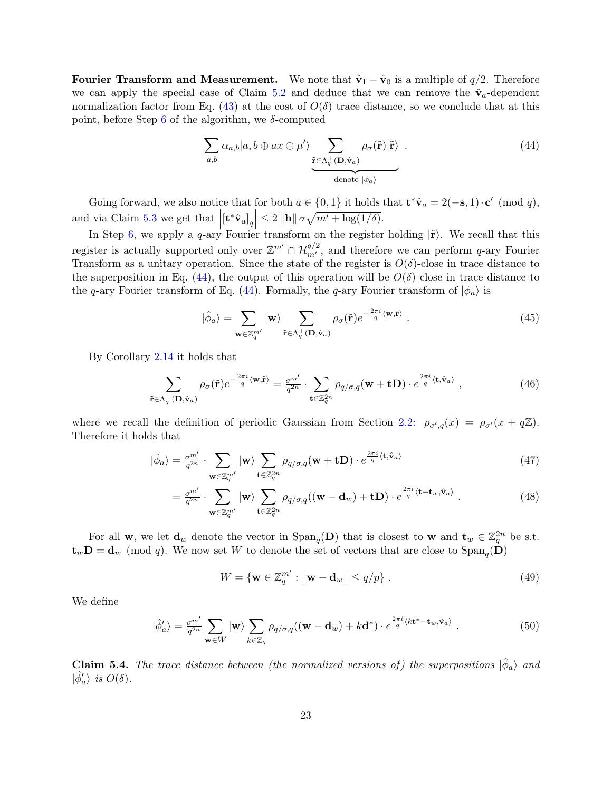**Fourier Transform and Measurement.** We note that  $\hat{\mathbf{v}}_1 - \hat{\mathbf{v}}_0$  is a multiple of  $q/2$ . Therefore we can apply the special case of Claim [5.2](#page-19-1) and deduce that we can remove the  $\hat{v}_a$ -dependent normalization factor from Eq. [\(43\)](#page-21-1) at the cost of  $O(\delta)$  trace distance, so we conclude that at this point, before Step [6](#page-17-3) of the algorithm, we δ-computed

<span id="page-22-0"></span>
$$
\sum_{a,b} \alpha_{a,b} |a, b \oplus ax \oplus \mu' \rangle \underbrace{\sum_{\tilde{\mathbf{r}} \in \Lambda_q^{\perp}(\mathbf{D}, \hat{\mathbf{v}}_a)} \rho_{\sigma}(\tilde{\mathbf{r}}) |\tilde{\mathbf{r}} \rangle .
$$
\n(44)

Going forward, we also notice that for both  $a \in \{0,1\}$  it holds that  $\mathbf{t}^*\hat{\mathbf{v}}_a = 2(-\mathbf{s},1)\cdot \mathbf{c}' \pmod{q}$ , and via Claim [5.3](#page-21-2) we get that  $\left| \begin{bmatrix} \mathbf{t}^* \hat{\mathbf{v}}_a \end{bmatrix}_q \right| \leq 2 \|\mathbf{h}\| \sigma \sqrt{m' + \log(1/\delta)}$ .

In Step [6,](#page-17-3) we apply a q-ary Fourier transform on the register holding  $|\tilde{\mathbf{r}}\rangle$ . We recall that this register is actually supported only over  $\mathbb{Z}^{m'} \cap \mathcal{H}_{m'}^{q/2}$ , and therefore we can perform q-ary Fourier Transform as a unitary operation. Since the state of the register is  $O(\delta)$ -close in trace distance to the superposition in Eq. [\(44\)](#page-22-0), the output of this operation will be  $O(\delta)$  close in trace distance to the q-ary Fourier transform of Eq. [\(44\)](#page-22-0). Formally, the q-ary Fourier transform of  $|\phi_a\rangle$  is

$$
|\hat{\phi}_a\rangle = \sum_{\mathbf{w}\in\mathbb{Z}_q^{m'}} |\mathbf{w}\rangle \sum_{\tilde{\mathbf{r}}\in\Lambda_q^{\perp}(\mathbf{D}, \hat{\mathbf{v}}_a)} \rho_{\sigma}(\tilde{\mathbf{r}}) e^{-\frac{2\pi i}{q} \langle \mathbf{w}, \tilde{\mathbf{r}} \rangle} .
$$
 (45)

By Corollary [2.14](#page-10-1) it holds that

$$
\sum_{\tilde{\mathbf{r}} \in \Lambda_q^{\perp}(\mathbf{D}, \hat{\mathbf{v}}_a)} \rho_{\sigma}(\tilde{\mathbf{r}}) e^{-\frac{2\pi i}{q} \langle \mathbf{w}, \tilde{\mathbf{r}} \rangle} = \frac{\sigma^{m'}}{q^{2n}} \cdot \sum_{\mathbf{t} \in \mathbb{Z}_q^{2n}} \rho_{q/\sigma,q}(\mathbf{w} + \mathbf{t} \mathbf{D}) \cdot e^{\frac{2\pi i}{q} \langle \mathbf{t}, \hat{\mathbf{v}}_a \rangle} ,
$$
(46)

where we recall the definition of periodic Gaussian from Section [2.2:](#page-7-1)  $\rho_{\sigma',q}(x) = \rho_{\sigma'}(x + q\mathbb{Z})$ . Therefore it holds that

$$
|\hat{\phi}_a\rangle = \frac{\sigma^{m'}}{q^{2n}} \cdot \sum_{\mathbf{w} \in \mathbb{Z}_q^{m'}} |\mathbf{w}\rangle \sum_{\mathbf{t} \in \mathbb{Z}_q^{2n}} \rho_{q/\sigma,q}(\mathbf{w} + \mathbf{t} \mathbf{D}) \cdot e^{\frac{2\pi i}{q} \langle \mathbf{t}, \hat{\mathbf{v}}_a \rangle}
$$
(47)

$$
= \frac{\sigma^{m'}}{q^{2n}} \cdot \sum_{\mathbf{w} \in \mathbb{Z}_q^{m'}} |\mathbf{w}\rangle \sum_{\mathbf{t} \in \mathbb{Z}_q^{2n}} \rho_{q/\sigma,q}((\mathbf{w} - \mathbf{d}_w) + \mathbf{t} \mathbf{D}) \cdot e^{\frac{2\pi i}{q} \langle \mathbf{t} - \mathbf{t}_w, \hat{\mathbf{v}}_a \rangle} . \tag{48}
$$

For all **w**, we let  $\mathbf{d}_w$  denote the vector in  $\text{Span}_q(\mathbf{D})$  that is closest to **w** and  $\mathbf{t}_w \in \mathbb{Z}_q^{2n}$  be s.t.  $\mathbf{t}_w \mathbf{D} = \mathbf{d}_w \pmod{q}$ . We now set W to denote the set of vectors that are close to  $\text{Span}_q(\mathbf{D})$ 

$$
W = \{ \mathbf{w} \in \mathbb{Z}_q^{m'} : ||\mathbf{w} - \mathbf{d}_w|| \le q/p \} . \tag{49}
$$

We define

$$
|\hat{\phi}'_a\rangle = \frac{\sigma^{m'}}{q^{2n}} \sum_{\mathbf{w}\in W} |\mathbf{w}\rangle \sum_{k\in \mathbb{Z}_q} \rho_{q/\sigma,q}((\mathbf{w}-\mathbf{d}_w)+k\mathbf{d}^*)\cdot e^{\frac{2\pi i}{q}\langle k\mathbf{t}^*-\mathbf{t}_w,\hat{\mathbf{v}}_a\rangle}.
$$
 (50)

**Claim 5.4.** The trace distance between (the normalized versions of) the superpositions  $|\hat{\phi}_a\rangle$  and  $|\hat{\phi}'_a\rangle$  is  $O(\delta)$ .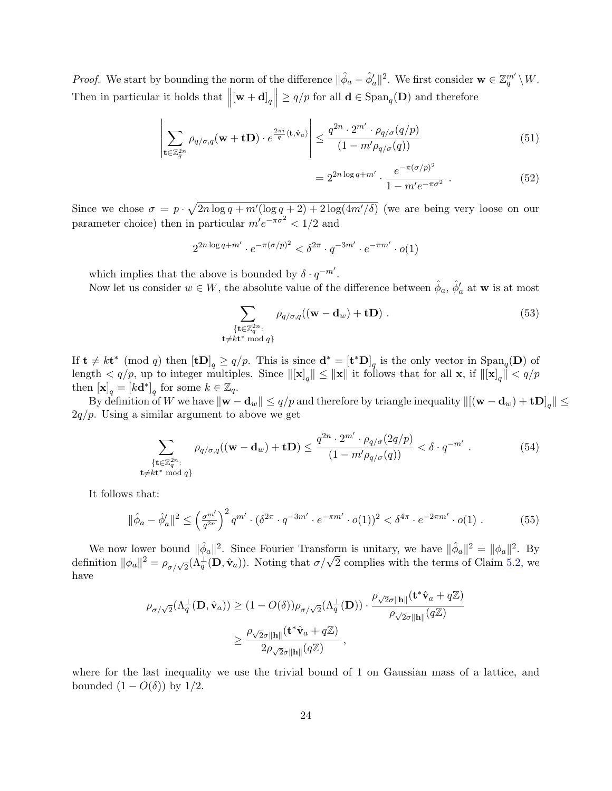*Proof.* We start by bounding the norm of the difference  $\|\hat{\phi}_a - \hat{\phi}'_a\|^2$ . We first consider  $\mathbf{w} \in \mathbb{Z}_q^{m'} \setminus W$ . Then in particular it holds that  $\left\|\left[\mathbf{w}+\mathbf{d}\right]_q\right\| \ge q/p$  for all  $\mathbf{d} \in \text{Span}_q(\mathbf{D})$  and therefore

$$
\left| \sum_{\mathbf{t} \in \mathbb{Z}_q^{2n}} \rho_{q/\sigma,q}(\mathbf{w} + \mathbf{t} \mathbf{D}) \cdot e^{\frac{2\pi i}{q} \langle \mathbf{t}, \hat{\mathbf{v}}_a \rangle} \right| \le \frac{q^{2n} \cdot 2^{m'} \cdot \rho_{q/\sigma}(q/p)}{(1 - m'\rho_{q/\sigma}(q))}
$$
(51)

$$
= 2^{2n \log q + m'} \cdot \frac{e^{-\pi(\sigma/p)^2}}{1 - m'e^{-\pi\sigma^2}} \,. \tag{52}
$$

Since we chose  $\sigma = p \cdot \sqrt{2n \log q + m'(\log q + 2) + 2 \log(4m'/\delta)}$  (we are being very loose on our parameter choice) then in particular  $m'e^{-\pi\sigma^2} < 1/2$  and

$$
2^{2n \log q + m'} \cdot e^{-\pi (\sigma/p)^2} < \delta^{2\pi} \cdot q^{-3m'} \cdot e^{-\pi m'} \cdot o(1)
$$

which implies that the above is bounded by  $\delta \cdot q^{-m'}$ .

 $\mathbf t$ 

Now let us consider  $w \in W$ , the absolute value of the difference between  $\hat{\phi}_a$ ,  $\hat{\phi}'_a$  at **w** is at most

$$
\sum_{\substack{\{\mathbf{t}\in \mathbb{Z}_q^{2n}:\ \text{#tword } q\}\\\text{#kt* mod } q\}} \rho_{q/\sigma,q}((\mathbf{w}-\mathbf{d}_w)+\mathbf{t}\mathbf{D})\ .
$$
\n(53)

If  $\mathbf{t} \neq k\mathbf{t}^* \pmod{q}$  then  $[\mathbf{t} \mathbf{D}]_q \geq q/p$ . This is since  $\mathbf{d}^* = [\mathbf{t}^* \mathbf{D}]_q$  is the only vector in  $\text{Span}_q(\mathbf{D})$  of length  $\langle q/p, \text{ up to integer multiples. Since } ||[\mathbf{x}]_q|| \le ||\mathbf{x}||$  it follows that for all  $\mathbf{x}$ , if  $||[\mathbf{x}]_q|| < q/p$ then  $[\mathbf{x}]_q = [k\mathbf{d}^*]_q$  for some  $k \in \mathbb{Z}_q$ .

By definition of W we have  $\|{\bf w}-{\bf d}_w\|\leq q/p$  and therefore by triangle inequality  $\|[({\bf w}-{\bf d}_w)+{\bf t}{\bf D}]_q\|\leq$  $2q/p$ . Using a similar argument to above we get

$$
\sum_{\substack{\{\mathbf{t}\in\mathbb{Z}_q^{2n}:\\ \mathbf{t}\neq k\mathbf{t}^* \bmod q\}}}\rho_{q/\sigma,q}((\mathbf{w}-\mathbf{d}_w)+\mathbf{t}\mathbf{D}) \le \frac{q^{2n}\cdot 2^{m'}\cdot \rho_{q/\sigma}(2q/p)}{(1-m'\rho_{q/\sigma}(q))} < \delta \cdot q^{-m'}.
$$
\n(54)

It follows that:

$$
\|\hat{\phi}_a - \hat{\phi}_a'\|^2 \le \left(\frac{\sigma^{m'}}{q^{2n}}\right)^2 q^{m'} \cdot (\delta^{2\pi} \cdot q^{-3m'} \cdot e^{-\pi m'} \cdot o(1))^2 < \delta^{4\pi} \cdot e^{-2\pi m'} \cdot o(1) \ . \tag{55}
$$

We now lower bound  $\|\hat{\phi}_a\|^2$ . Since Fourier Transform is unitary, we have  $\|\hat{\phi}_a\|^2 = \|\phi_a\|^2$ . By We now lower bound  $\|\varphi_a\|$ . Since Fourier Transform is unitary, we have  $\|\varphi_a\| = \|\varphi_a\|$ . By definition  $\|\phi_a\|^2 = \rho_{\sigma/\sqrt{2}}(\Lambda_q^{\perp}(\mathbf{D}, \hat{\mathbf{v}}_a))$ . Noting that  $\sigma/\sqrt{2}$  complies with the terms of Claim [5.2,](#page-19-1) we have

$$
\rho_{\sigma/\sqrt{2}}(\Lambda_q^{\perp}(\mathbf{D}, \hat{\mathbf{v}}_a)) \ge (1 - O(\delta))\rho_{\sigma/\sqrt{2}}(\Lambda_q^{\perp}(\mathbf{D})) \cdot \frac{\rho_{\sqrt{2}\sigma||\mathbf{h}||}(\mathbf{t}^*\hat{\mathbf{v}}_a + q\mathbb{Z})}{\rho_{\sqrt{2}\sigma||\mathbf{h}||}(q\mathbb{Z})}
$$

$$
\ge \frac{\rho_{\sqrt{2}\sigma||\mathbf{h}||}(\mathbf{t}^*\hat{\mathbf{v}}_a + q\mathbb{Z})}{2\rho_{\sqrt{2}\sigma||\mathbf{h}||}(q\mathbb{Z})},
$$

where for the last inequality we use the trivial bound of 1 on Gaussian mass of a lattice, and bounded  $(1 - O(\delta))$  by 1/2.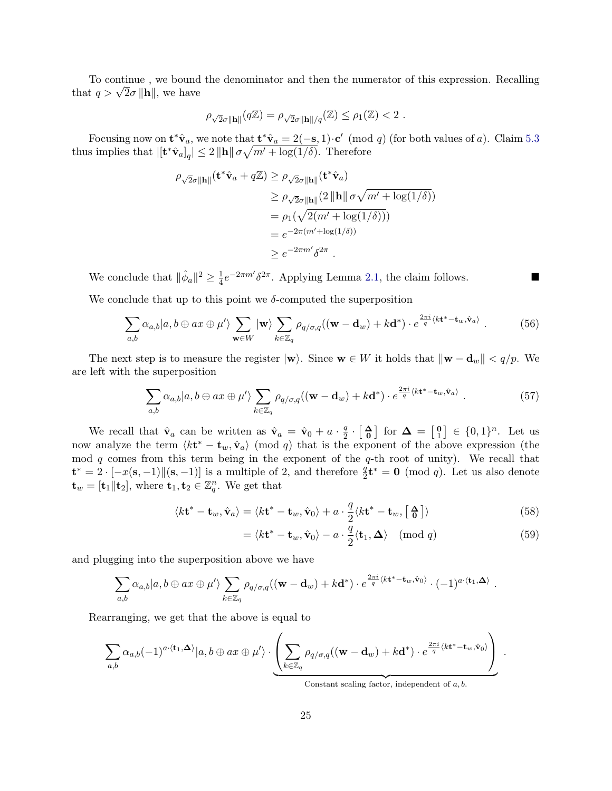To continue , we bound the denominator and then the numerator of this expression. Recalling to continue, we bound<br>that  $q > \sqrt{2}\sigma ||\mathbf{h}||$ , we have

$$
\rho_{\sqrt{2}\sigma\|{\bf h}\|}(q\mathbb{Z})=\rho_{\sqrt{2}\sigma\|{\bf h}\|/q}(\mathbb{Z})\leq \rho_1(\mathbb{Z})<2\ .
$$

Focusing now on  $\mathbf{t}^*\hat{\mathbf{v}}_a$ , we note that  $\mathbf{t}^*\hat{\mathbf{v}}_a = 2(-\mathbf{s}, 1) \cdot \mathbf{c}' \pmod{q}$  (for both values of a). Claim [5.3](#page-21-2) thus implies that  $|[\mathbf{t}^*\hat{\mathbf{v}}_a]_q| \leq 2 ||\mathbf{h}|| \sigma \sqrt{m' + \log(1/\delta)}$ . Therefore

$$
\rho_{\sqrt{2}\sigma\|\mathbf{h}\|}(\mathbf{t}^*\hat{\mathbf{v}}_a + q\mathbb{Z}) \ge \rho_{\sqrt{2}\sigma\|\mathbf{h}\|}(\mathbf{t}^*\hat{\mathbf{v}}_a)
$$
  
\n
$$
\ge \rho_{\sqrt{2}\sigma\|\mathbf{h}\|} (2 \|\mathbf{h}\| \sigma \sqrt{m' + \log(1/\delta)})
$$
  
\n
$$
= \rho_1(\sqrt{2(m' + \log(1/\delta))})
$$
  
\n
$$
= e^{-2\pi(m' + \log(1/\delta))}
$$
  
\n
$$
\ge e^{-2\pi m'} \delta^{2\pi}.
$$

We conclude that  $\|\hat{\phi}_a\|^2 \geq \frac{1}{4}$  $\frac{1}{4}e^{-2\pi m'}\delta^{2\pi}$ . Applying Lemma [2.1,](#page-6-4) the claim follows.

We conclude that up to this point we  $\delta$ -computed the superposition

$$
\sum_{a,b} \alpha_{a,b} |a,b \oplus ax \oplus \mu' \rangle \sum_{\mathbf{w} \in W} |\mathbf{w} \rangle \sum_{k \in \mathbb{Z}_q} \rho_{q/\sigma,q}((\mathbf{w}-\mathbf{d}_w)+k\mathbf{d}^*) \cdot e^{\frac{2\pi i}{q}\langle k\mathbf{t}^*-\mathbf{t}_w,\hat{\mathbf{v}}_a\rangle}.
$$
 (56)

The next step is to measure the register  $|\mathbf{w}\rangle$ . Since  $\mathbf{w} \in W$  it holds that  $\|\mathbf{w} - \mathbf{d}_w\| < q/p$ . We are left with the superposition

$$
\sum_{a,b} \alpha_{a,b} |a,b \oplus ax \oplus \mu' \rangle \sum_{k \in \mathbb{Z}_q} \rho_{q/\sigma,q}((\mathbf{w}-\mathbf{d}_w)+k\mathbf{d}^*) \cdot e^{\frac{2\pi i}{q}\langle kt^*-\mathbf{t}_w,\hat{\mathbf{v}}_a \rangle}.
$$
 (57)

We recall that  $\hat{\mathbf{v}}_a$  can be written as  $\hat{\mathbf{v}}_a = \hat{\mathbf{v}}_0 + a \cdot \frac{q}{2}$  $\frac{q}{2} \cdot \begin{bmatrix} \Delta \\ 0 \end{bmatrix}$  for  $\Delta = \begin{bmatrix} 0 \\ 1 \end{bmatrix} \in \{0,1\}^n$ . Let us now analyze the term  $\langle k\mathbf{t}^* - \mathbf{t}_w, \hat{\mathbf{v}}_a \rangle$  (mod q) that is the exponent of the above expression (the mod  $q$  comes from this term being in the exponent of the  $q$ -th root of unity). We recall that  $\mathbf{t}^* = 2 \cdot [-x(\mathbf{s}, -1) \| (\mathbf{s}, -1)]$  is a multiple of 2, and therefore  $\frac{q}{2} \mathbf{t}^* = \mathbf{0} \pmod{q}$ . Let us also denote  $\mathbf{t}_w = [\mathbf{t}_1 || \mathbf{t}_2],$  where  $\mathbf{t}_1, \mathbf{t}_2 \in \mathbb{Z}_q^n$ . We get that

$$
\langle k\mathbf{t}^* - \mathbf{t}_w, \hat{\mathbf{v}}_a \rangle = \langle k\mathbf{t}^* - \mathbf{t}_w, \hat{\mathbf{v}}_0 \rangle + a \cdot \frac{q}{2} \langle k\mathbf{t}^* - \mathbf{t}_w, \begin{bmatrix} \Delta \\ 0 \end{bmatrix} \rangle
$$
 (58)

$$
= \langle k\mathbf{t}^* - \mathbf{t}_w, \hat{\mathbf{v}}_0 \rangle - a \cdot \frac{q}{2} \langle \mathbf{t}_1, \Delta \rangle \pmod{q} \tag{59}
$$

.

and plugging into the superposition above we have

$$
\sum_{a,b} \alpha_{a,b} |a,b \oplus ax \oplus \mu' \rangle \sum_{k \in \mathbb{Z}_q} \rho_{q/\sigma,q}((\mathbf{w}-\mathbf{d}_w)+k\mathbf{d}^*) \cdot e^{\frac{2\pi i}{q}\langle kt^*-\mathbf{t}_w,\hat{\mathbf{v}}_0 \rangle} \cdot (-1)^{a \cdot \langle \mathbf{t}_1, \Delta \rangle}
$$

Rearranging, we get that the above is equal to

$$
\sum_{a,b} \alpha_{a,b} (-1)^{a \cdot \langle \mathbf{t}_1, \mathbf{\Delta} \rangle} |a,b \oplus ax \oplus \mu' \rangle \cdot \underbrace{\left( \sum_{k \in \mathbb{Z}_q} \rho_{q/\sigma,q} ((\mathbf{w}-\mathbf{d}_w) + k \mathbf{d}^*) \cdot e^{\frac{2 \pi i}{q} \langle k \mathbf{t}^* - \mathbf{t}_w, \hat{\mathbf{v}}_0 \rangle} \right)}_{\text{Constant scaling factor, independent of } a,b}.
$$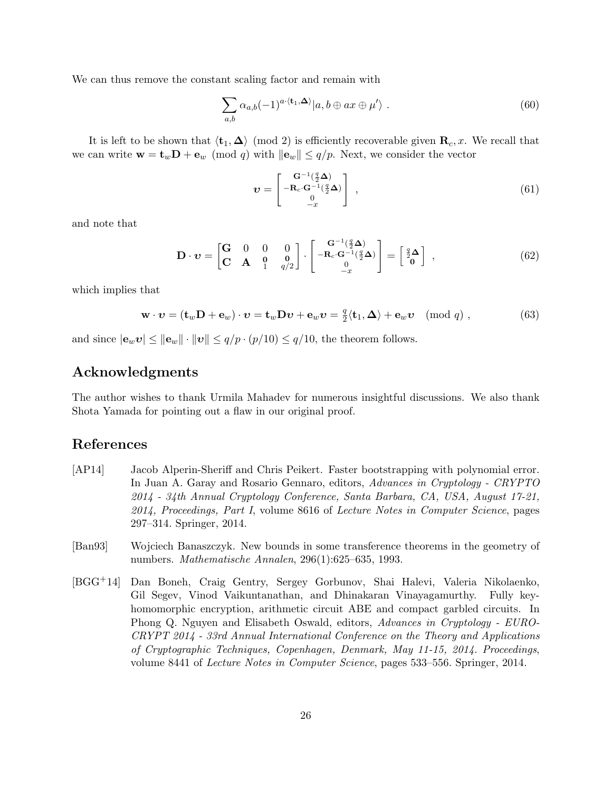We can thus remove the constant scaling factor and remain with

$$
\sum_{a,b} \alpha_{a,b} (-1)^{a \cdot \langle \mathbf{t}_1, \mathbf{\Delta} \rangle} |a, b \oplus ax \oplus \mu' \rangle \ . \tag{60}
$$

It is left to be shown that  $\langle t_1, \Delta \rangle$  (mod 2) is efficiently recoverable given  $\mathbf{R}_c, x$ . We recall that we can write  $\mathbf{w} = \mathbf{t}_w \mathbf{D} + \mathbf{e}_w \pmod{q}$  with  $\|\mathbf{e}_w\| \leq q/p$ . Next, we consider the vector

$$
\boldsymbol{v} = \begin{bmatrix} \mathbf{G}^{-1}(\frac{q}{2}\boldsymbol{\Delta}) \\ -\mathbf{R}_c \cdot \mathbf{G}^{-1}(\frac{q}{2}\boldsymbol{\Delta}) \\ 0 \\ -x \end{bmatrix} , \qquad (61)
$$

and note that

$$
\mathbf{D} \cdot \mathbf{v} = \begin{bmatrix} \mathbf{G} & 0 & 0 & 0 \\ \mathbf{C} & \mathbf{A} & 0 & 0 \\ \mathbf{C} & \mathbf{A} & 0 & 0 \\ 0 & 0 & 0 & 0 \\ 0 & 0 & 0 & 0 \end{bmatrix} \cdot \begin{bmatrix} \mathbf{G}^{-1}(\frac{q}{2}\mathbf{\Delta}) \\ -\mathbf{R}_c \cdot \mathbf{G}^{-1}(\frac{q}{2}\mathbf{\Delta}) \\ 0 \\ -x \end{bmatrix} = \begin{bmatrix} \frac{q}{2}\mathbf{\Delta} \\ 0 \end{bmatrix} ,
$$
 (62)

which implies that

$$
\mathbf{w} \cdot \mathbf{v} = (\mathbf{t}_w \mathbf{D} + \mathbf{e}_w) \cdot \mathbf{v} = \mathbf{t}_w \mathbf{D} \mathbf{v} + \mathbf{e}_w \mathbf{v} = \frac{q}{2} \langle \mathbf{t}_1, \mathbf{\Delta} \rangle + \mathbf{e}_w \mathbf{v} \pmod{q}, \tag{63}
$$

and since  $|\mathbf{e}_w \mathbf{v}| \le ||\mathbf{e}_w|| \cdot ||\mathbf{v}|| \le q/p \cdot (p/10) \le q/10$ , the theorem follows.

# Acknowledgments

The author wishes to thank Urmila Mahadev for numerous insightful discussions. We also thank Shota Yamada for pointing out a flaw in our original proof.

# References

- <span id="page-25-0"></span>[AP14] Jacob Alperin-Sheriff and Chris Peikert. Faster bootstrapping with polynomial error. In Juan A. Garay and Rosario Gennaro, editors, Advances in Cryptology - CRYPTO 2014 - 34th Annual Cryptology Conference, Santa Barbara, CA, USA, August 17-21, 2014, Proceedings, Part I, volume 8616 of Lecture Notes in Computer Science, pages 297–314. Springer, 2014.
- <span id="page-25-1"></span>[Ban93] Wojciech Banaszczyk. New bounds in some transference theorems in the geometry of numbers. Mathematische Annalen, 296(1):625–635, 1993.
- <span id="page-25-2"></span>[BGG+14] Dan Boneh, Craig Gentry, Sergey Gorbunov, Shai Halevi, Valeria Nikolaenko, Gil Segev, Vinod Vaikuntanathan, and Dhinakaran Vinayagamurthy. Fully keyhomomorphic encryption, arithmetic circuit ABE and compact garbled circuits. In Phong Q. Nguyen and Elisabeth Oswald, editors, Advances in Cryptology - EURO-CRYPT 2014 - 33rd Annual International Conference on the Theory and Applications of Cryptographic Techniques, Copenhagen, Denmark, May 11-15, 2014. Proceedings, volume 8441 of Lecture Notes in Computer Science, pages 533–556. Springer, 2014.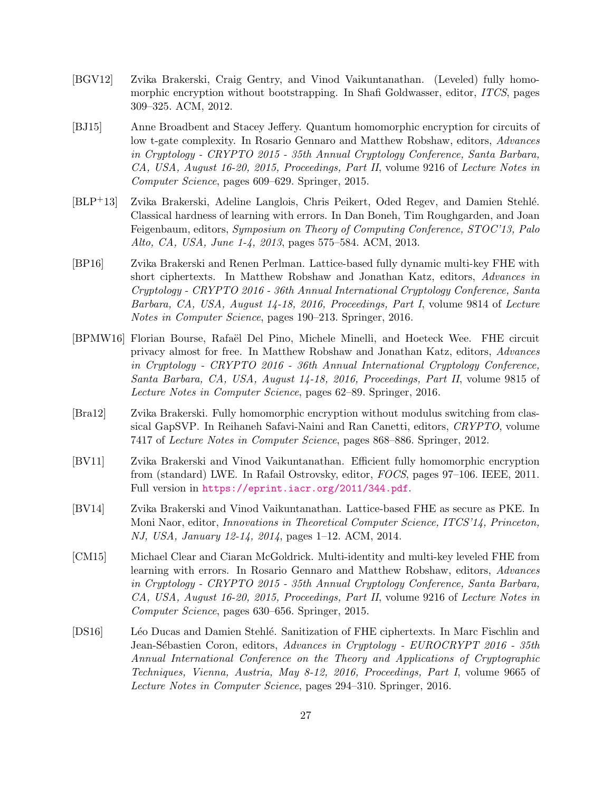- <span id="page-26-1"></span>[BGV12] Zvika Brakerski, Craig Gentry, and Vinod Vaikuntanathan. (Leveled) fully homomorphic encryption without bootstrapping. In Shafi Goldwasser, editor, *ITCS*, pages 309–325. ACM, 2012.
- <span id="page-26-4"></span>[BJ15] Anne Broadbent and Stacey Jeffery. Quantum homomorphic encryption for circuits of low t-gate complexity. In Rosario Gennaro and Matthew Robshaw, editors, Advances in Cryptology - CRYPTO 2015 - 35th Annual Cryptology Conference, Santa Barbara, CA, USA, August 16-20, 2015, Proceedings, Part II, volume 9216 of Lecture Notes in Computer Science, pages 609–629. Springer, 2015.
- <span id="page-26-9"></span>[BLP+13] Zvika Brakerski, Adeline Langlois, Chris Peikert, Oded Regev, and Damien Stehl´e. Classical hardness of learning with errors. In Dan Boneh, Tim Roughgarden, and Joan Feigenbaum, editors, Symposium on Theory of Computing Conference, STOC'13, Palo Alto, CA, USA, June 1-4, 2013, pages 575–584. ACM, 2013.
- <span id="page-26-6"></span>[BP16] Zvika Brakerski and Renen Perlman. Lattice-based fully dynamic multi-key FHE with short ciphertexts. In Matthew Robshaw and Jonathan Katz, editors, Advances in Cryptology - CRYPTO 2016 - 36th Annual International Cryptology Conference, Santa Barbara, CA, USA, August 14-18, 2016, Proceedings, Part I, volume 9814 of Lecture Notes in Computer Science, pages 190–213. Springer, 2016.
- <span id="page-26-8"></span>[BPMW16] Florian Bourse, Rafaël Del Pino, Michele Minelli, and Hoeteck Wee. FHE circuit privacy almost for free. In Matthew Robshaw and Jonathan Katz, editors, Advances in Cryptology - CRYPTO 2016 - 36th Annual International Cryptology Conference, Santa Barbara, CA, USA, August 14-18, 2016, Proceedings, Part II, volume 9815 of Lecture Notes in Computer Science, pages 62–89. Springer, 2016.
- <span id="page-26-2"></span>[Bra12] Zvika Brakerski. Fully homomorphic encryption without modulus switching from classical GapSVP. In Reihaneh Safavi-Naini and Ran Canetti, editors, CRYPTO, volume 7417 of Lecture Notes in Computer Science, pages 868–886. Springer, 2012.
- <span id="page-26-0"></span>[BV11] Zvika Brakerski and Vinod Vaikuntanathan. Efficient fully homomorphic encryption from (standard) LWE. In Rafail Ostrovsky, editor, FOCS, pages 97–106. IEEE, 2011. Full version in <https://eprint.iacr.org/2011/344.pdf>.
- <span id="page-26-3"></span>[BV14] Zvika Brakerski and Vinod Vaikuntanathan. Lattice-based FHE as secure as PKE. In Moni Naor, editor, Innovations in Theoretical Computer Science, ITCS'14, Princeton, NJ, USA, January 12-14, 2014, pages 1–12. ACM, 2014.
- <span id="page-26-5"></span>[CM15] Michael Clear and Ciaran McGoldrick. Multi-identity and multi-key leveled FHE from learning with errors. In Rosario Gennaro and Matthew Robshaw, editors, Advances in Cryptology - CRYPTO 2015 - 35th Annual Cryptology Conference, Santa Barbara, CA, USA, August 16-20, 2015, Proceedings, Part II, volume 9216 of Lecture Notes in Computer Science, pages 630–656. Springer, 2015.
- <span id="page-26-7"></span>[DS16] Léo Ducas and Damien Stehlé. Sanitization of FHE ciphertexts. In Marc Fischlin and Jean-Sébastien Coron, editors, Advances in Cryptology - EUROCRYPT 2016 - 35th Annual International Conference on the Theory and Applications of Cryptographic Techniques, Vienna, Austria, May 8-12, 2016, Proceedings, Part I, volume 9665 of Lecture Notes in Computer Science, pages 294–310. Springer, 2016.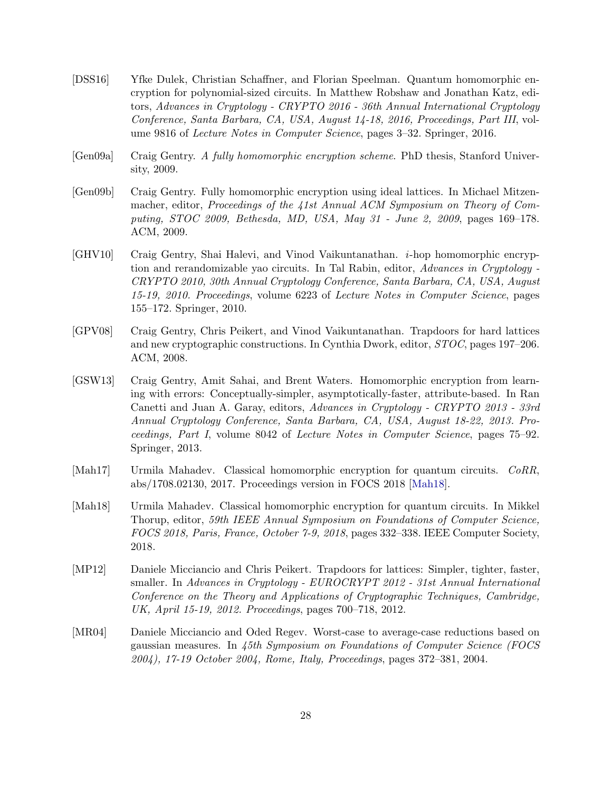- <span id="page-27-2"></span>[DSS16] Yfke Dulek, Christian Schaffner, and Florian Speelman. Quantum homomorphic encryption for polynomial-sized circuits. In Matthew Robshaw and Jonathan Katz, editors, Advances in Cryptology - CRYPTO 2016 - 36th Annual International Cryptology Conference, Santa Barbara, CA, USA, August 14-18, 2016, Proceedings, Part III, volume 9816 of Lecture Notes in Computer Science, pages 3–32. Springer, 2016.
- <span id="page-27-4"></span>[Gen09a] Craig Gentry. A fully homomorphic encryption scheme. PhD thesis, Stanford University, 2009.
- <span id="page-27-0"></span>[Gen09b] Craig Gentry. Fully homomorphic encryption using ideal lattices. In Michael Mitzenmacher, editor, Proceedings of the 41st Annual ACM Symposium on Theory of Computing, STOC 2009, Bethesda, MD, USA, May 31 - June 2, 2009, pages 169–178. ACM, 2009.
- <span id="page-27-5"></span>[GHV10] Craig Gentry, Shai Halevi, and Vinod Vaikuntanathan. i-hop homomorphic encryption and rerandomizable yao circuits. In Tal Rabin, editor, Advances in Cryptology - CRYPTO 2010, 30th Annual Cryptology Conference, Santa Barbara, CA, USA, August 15-19, 2010. Proceedings, volume 6223 of Lecture Notes in Computer Science, pages 155–172. Springer, 2010.
- <span id="page-27-8"></span>[GPV08] Craig Gentry, Chris Peikert, and Vinod Vaikuntanathan. Trapdoors for hard lattices and new cryptographic constructions. In Cynthia Dwork, editor, STOC, pages 197–206. ACM, 2008.
- <span id="page-27-1"></span>[GSW13] Craig Gentry, Amit Sahai, and Brent Waters. Homomorphic encryption from learning with errors: Conceptually-simpler, asymptotically-faster, attribute-based. In Ran Canetti and Juan A. Garay, editors, Advances in Cryptology - CRYPTO 2013 - 33rd Annual Cryptology Conference, Santa Barbara, CA, USA, August 18-22, 2013. Proceedings, Part I, volume 8042 of Lecture Notes in Computer Science, pages 75–92. Springer, 2013.
- <span id="page-27-3"></span>[Mah17] Urmila Mahadev. Classical homomorphic encryption for quantum circuits. CoRR, abs/1708.02130, 2017. Proceedings version in FOCS 2018 [\[Mah18\]](#page-27-9).
- <span id="page-27-9"></span>[Mah18] Urmila Mahadev. Classical homomorphic encryption for quantum circuits. In Mikkel Thorup, editor, 59th IEEE Annual Symposium on Foundations of Computer Science, FOCS 2018, Paris, France, October 7-9, 2018, pages 332–338. IEEE Computer Society, 2018.
- <span id="page-27-6"></span>[MP12] Daniele Micciancio and Chris Peikert. Trapdoors for lattices: Simpler, tighter, faster, smaller. In Advances in Cryptology - EUROCRYPT 2012 - 31st Annual International Conference on the Theory and Applications of Cryptographic Techniques, Cambridge, UK, April 15-19, 2012. Proceedings, pages 700–718, 2012.
- <span id="page-27-7"></span>[MR04] Daniele Micciancio and Oded Regev. Worst-case to average-case reductions based on gaussian measures. In 45th Symposium on Foundations of Computer Science (FOCS 2004), 17-19 October 2004, Rome, Italy, Proceedings, pages 372–381, 2004.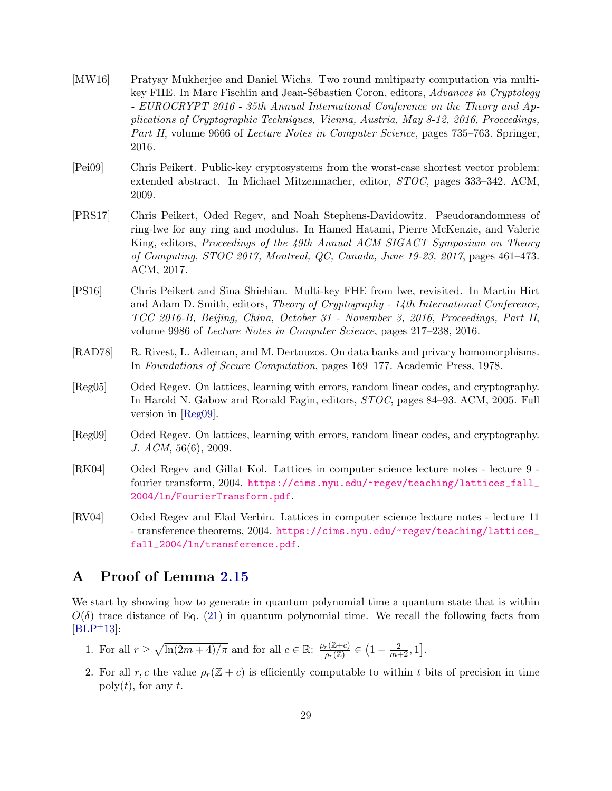- <span id="page-28-2"></span>[MW16] Pratyay Mukherjee and Daniel Wichs. Two round multiparty computation via multikey FHE. In Marc Fischlin and Jean-Sébastien Coron, editors, Advances in Cryptology - EUROCRYPT 2016 - 35th Annual International Conference on the Theory and Applications of Cryptographic Techniques, Vienna, Austria, May 8-12, 2016, Proceedings, Part II, volume 9666 of Lecture Notes in Computer Science, pages 735–763. Springer, 2016.
- <span id="page-28-7"></span>[Pei09] Chris Peikert. Public-key cryptosystems from the worst-case shortest vector problem: extended abstract. In Michael Mitzenmacher, editor, STOC, pages 333–342. ACM, 2009.
- <span id="page-28-6"></span>[PRS17] Chris Peikert, Oded Regev, and Noah Stephens-Davidowitz. Pseudorandomness of ring-lwe for any ring and modulus. In Hamed Hatami, Pierre McKenzie, and Valerie King, editors, Proceedings of the 49th Annual ACM SIGACT Symposium on Theory of Computing, STOC 2017, Montreal, QC, Canada, June 19-23, 2017, pages 461–473. ACM, 2017.
- <span id="page-28-3"></span>[PS16] Chris Peikert and Sina Shiehian. Multi-key FHE from lwe, revisited. In Martin Hirt and Adam D. Smith, editors, Theory of Cryptography - 14th International Conference, TCC 2016-B, Beijing, China, October 31 - November 3, 2016, Proceedings, Part II, volume 9986 of Lecture Notes in Computer Science, pages 217–238, 2016.
- <span id="page-28-0"></span>[RAD78] R. Rivest, L. Adleman, and M. Dertouzos. On data banks and privacy homomorphisms. In Foundations of Secure Computation, pages 169–177. Academic Press, 1978.
- <span id="page-28-1"></span>[Reg05] Oded Regev. On lattices, learning with errors, random linear codes, and cryptography. In Harold N. Gabow and Ronald Fagin, editors, STOC, pages 84–93. ACM, 2005. Full version in [\[Reg09\]](#page-28-9).
- <span id="page-28-9"></span>[Reg09] Oded Regev. On lattices, learning with errors, random linear codes, and cryptography. J. ACM, 56(6), 2009.
- <span id="page-28-5"></span>[RK04] Oded Regev and Gillat Kol. Lattices in computer science lecture notes - lecture 9 fourier transform, 2004. [https://cims.nyu.edu/~regev/teaching/lattices\\_fall\\_](https://cims.nyu.edu/~regev/teaching/lattices_fall_2004/ln/FourierTransform.pdf) [2004/ln/FourierTransform.pdf](https://cims.nyu.edu/~regev/teaching/lattices_fall_2004/ln/FourierTransform.pdf).
- <span id="page-28-4"></span>[RV04] Oded Regev and Elad Verbin. Lattices in computer science lecture notes - lecture 11 - transference theorems, 2004. [https://cims.nyu.edu/~regev/teaching/lattices\\_](https://cims.nyu.edu/~regev/teaching/lattices_fall_2004/ln/transference.pdf) [fall\\_2004/ln/transference.pdf](https://cims.nyu.edu/~regev/teaching/lattices_fall_2004/ln/transference.pdf).

# <span id="page-28-8"></span>A Proof of Lemma [2.15](#page-11-3)

We start by showing how to generate in quantum polynomial time a quantum state that is within  $O(\delta)$  trace distance of Eq. [\(21\)](#page-11-4) in quantum polynomial time. We recall the following facts from  $[BLP+13]$  $[BLP+13]$ :

- 1. For all  $r \geq \sqrt{\ln(2m+4)/\pi}$  and for all  $c \in \mathbb{R}$ :  $\frac{\rho_r(\mathbb{Z}+c)}{\rho_r(\mathbb{Z})}$  $\frac{f_r(\mathbb{Z}+c)}{\rho_r(\mathbb{Z})} \in \big(1-\frac{2}{m+2},1\big].$
- 2. For all r, c the value  $\rho_r(\mathbb{Z}+c)$  is efficiently computable to within t bits of precision in time  $poly(t)$ , for any t.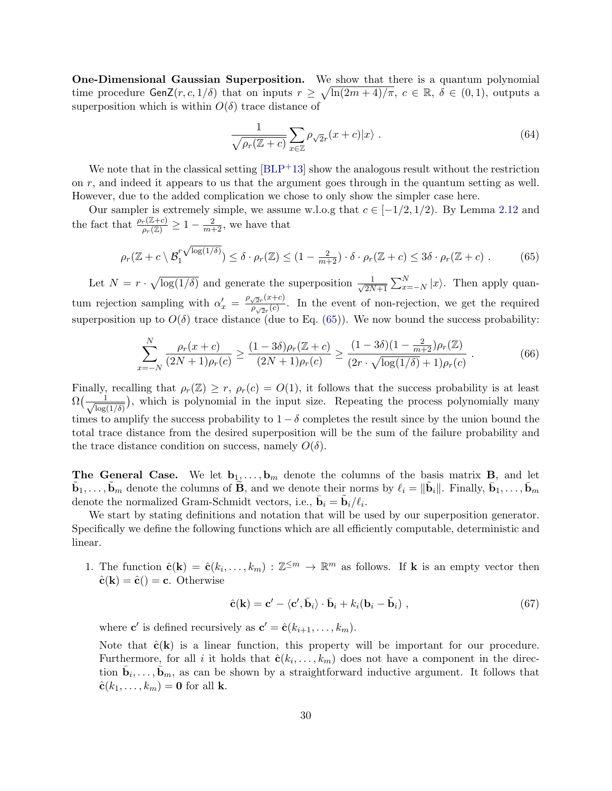One-Dimensional Gaussian Superposition. We show that there is a quantum polynomial time procedure GenZ $(r, c, 1/\delta)$  that on inputs  $r \geq \sqrt{\ln(2m+4)/\pi}$ ,  $c \in \mathbb{R}$ ,  $\delta \in (0, 1)$ , outputs a superposition which is within  $O(\delta)$  trace distance of

<span id="page-29-0"></span>
$$
\frac{1}{\sqrt{\rho_r(\mathbb{Z}+c)}}\sum_{x\in\mathbb{Z}}\rho_{\sqrt{2}r}(x+c)|x\rangle.
$$
 (64)

We note that in the classical setting  $[BLP<sup>+13</sup>]$  $[BLP<sup>+13</sup>]$  show the analogous result without the restriction on r, and indeed it appears to us that the argument goes through in the quantum setting as well. However, due to the added complication we chose to only show the simpler case here.

Our sampler is extremely simple, we assume w.l.o.g that  $c \in [-1/2, 1/2)$ . By Lemma [2.12](#page-9-0) and the fact that  $\frac{\rho_r(\mathbb{Z}+c)}{\rho_r(\mathbb{Z})} \geq 1 - \frac{2}{m+2}$ , we have that

$$
\rho_r(\mathbb{Z}+c\setminus \mathcal{B}_1^{r\sqrt{\log(1/\delta)}}) \leq \delta \cdot \rho_r(\mathbb{Z}) \leq (1-\tfrac{2}{m+2}) \cdot \delta \cdot \rho_r(\mathbb{Z}+c) \leq 3\delta \cdot \rho_r(\mathbb{Z}+c) \ . \tag{65}
$$

Let  $N = r \cdot \sqrt{\log(1/\delta)}$  and generate the superposition  $\frac{1}{\sqrt{2N}}$  $\frac{1}{2N+1} \sum_{x=-N}^{N} |x\rangle$ . Then apply quantum rejection sampling with  $\alpha'_x = \frac{\rho_{\sqrt{2}r}(x+c)}{\rho_{\sqrt{2}r}(c)}$  $\frac{\sqrt{2r^{(2r-1)}}}{\sqrt{2r^{(c)}}}$ . In the event of non-rejection, we get the required superposition up to  $O(\delta)$  trace distance (due to Eq. [\(65\)](#page-29-0)). We now bound the success probability:

$$
\sum_{x=-N}^{N} \frac{\rho_r(x+c)}{(2N+1)\rho_r(c)} \ge \frac{(1-3\delta)\rho_r(\mathbb{Z}+c)}{(2N+1)\rho_r(c)} \ge \frac{(1-3\delta)(1-\frac{2}{m+2})\rho_r(\mathbb{Z})}{(2r\cdot\sqrt{\log(1/\delta)}+1)\rho_r(c)}\,. \tag{66}
$$

Finally, recalling that  $\rho_r(\mathbb{Z}) \geq r$ ,  $\rho_r(c) = O(1)$ , it follows that the success probability is at least  $\Omega\left(\frac{1}{\sqrt{1-\frac{1}{2}}} \right)$  $\frac{1}{\log(1/\delta)}$ , which is polynomial in the input size. Repeating the process polynomially many times to amplify the success probability to  $1 - \delta$  completes the result since by the union bound the total trace distance from the desired superposition will be the sum of the failure probability and the trace distance condition on success, namely  $O(\delta)$ .

**The General Case.** We let  $\mathbf{b}_1, \ldots, \mathbf{b}_m$  denote the columns of the basis matrix **B**, and let  $\tilde{\mathbf{b}}_1, \ldots, \tilde{\mathbf{b}}_m$  denote the columns of  $\tilde{\mathbf{B}}$ , and we denote their norms by  $\ell_i = \|\tilde{\mathbf{b}}_i\|$ . Finally,  $\bar{\mathbf{b}}_1, \ldots, \bar{\mathbf{b}}_m$ denote the normalized Gram-Schmidt vectors, i.e.,  $\bar{\mathbf{b}}_i = \tilde{\mathbf{b}}_i / \ell_i$ .

We start by stating definitions and notation that will be used by our superposition generator. Specifically we define the following functions which are all efficiently computable, deterministic and linear.

1. The function  $\hat{\mathbf{c}}(\mathbf{k}) = \hat{\mathbf{c}}(k_1,\ldots,k_m) : \mathbb{Z}^{\leq m} \to \mathbb{R}^m$  as follows. If **k** is an empty vector then  $\hat{\mathbf{c}}(\mathbf{k}) = \hat{\mathbf{c}}() = \mathbf{c}$ . Otherwise

<span id="page-29-1"></span>
$$
\hat{\mathbf{c}}(\mathbf{k}) = \mathbf{c}' - \langle \mathbf{c}', \bar{\mathbf{b}}_i \rangle \cdot \bar{\mathbf{b}}_i + k_i (\mathbf{b}_i - \tilde{\mathbf{b}}_i) , \qquad (67)
$$

where **c**' is defined recursively as  $\mathbf{c}' = \hat{\mathbf{c}}(k_{i+1}, \dots, k_m)$ .

Note that  $\hat{\mathbf{c}}(\mathbf{k})$  is a linear function, this property will be important for our procedure. Furthermore, for all i it holds that  $\hat{\mathbf{c}}(k_i,\ldots,k_m)$  does not have a component in the direction  $\bar{\mathbf{b}}_i, \ldots, \bar{\mathbf{b}}_m$ , as can be shown by a straightforward inductive argument. It follows that  $\hat{\mathbf{c}}(k_1,\ldots,k_m) = \mathbf{0}$  for all **k**.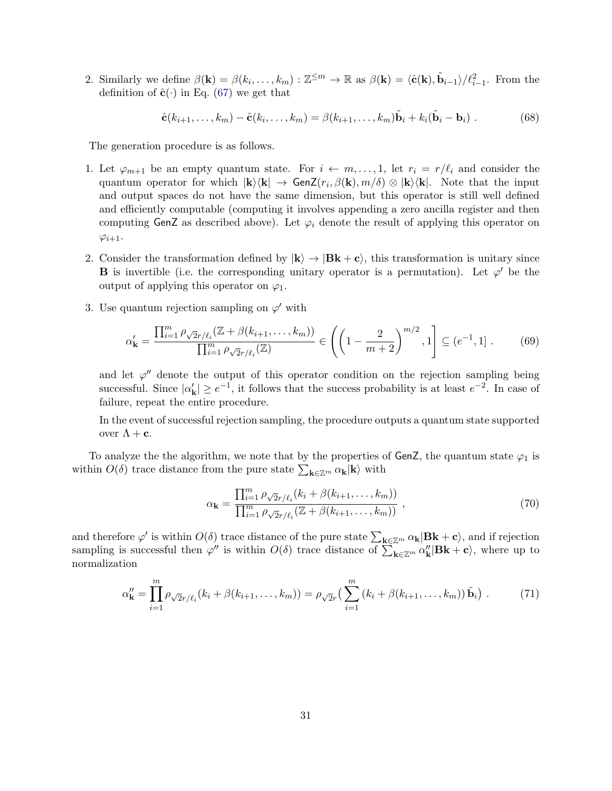2. Similarly we define  $\beta(\mathbf{k}) = \beta(k_i, \dots, k_m) : \mathbb{Z}^{\leq m} \to \mathbb{R}$  as  $\beta(\mathbf{k}) = \langle \hat{\mathbf{c}}(\mathbf{k}), \tilde{\mathbf{b}}_{i-1} \rangle / \ell_{i-1}^2$ . From the definition of  $\hat{\mathbf{c}}(\cdot)$  in Eq. [\(67\)](#page-29-1) we get that

<span id="page-30-0"></span>
$$
\hat{\mathbf{c}}(k_{i+1},\ldots,k_m) - \hat{\mathbf{c}}(k_i,\ldots,k_m) = \beta(k_{i+1},\ldots,k_m)\tilde{\mathbf{b}}_i + k_i(\tilde{\mathbf{b}}_i - \mathbf{b}_i) . \tag{68}
$$

The generation procedure is as follows.

- 1. Let  $\varphi_{m+1}$  be an empty quantum state. For  $i \leftarrow m, \ldots, 1$ , let  $r_i = r/\ell_i$  and consider the quantum operator for which  $|\mathbf{k}\rangle\langle\mathbf{k}| \to \text{GenZ}(r_i,\beta(\mathbf{k}),m/\delta) \otimes |\mathbf{k}\rangle\langle\mathbf{k}|.$  Note that the input and output spaces do not have the same dimension, but this operator is still well defined and efficiently computable (computing it involves appending a zero ancilla register and then computing GenZ as described above). Let  $\varphi_i$  denote the result of applying this operator on  $\varphi_{i+1}$ .
- 2. Consider the transformation defined by  $|k\rangle \rightarrow |Bk + c\rangle$ , this transformation is unitary since **B** is invertible (i.e. the corresponding unitary operator is a permutation). Let  $\varphi'$  be the output of applying this operator on  $\varphi_1$ .
- 3. Use quantum rejection sampling on  $\varphi'$  with

$$
\alpha'_{\mathbf{k}} = \frac{\prod_{i=1}^{m} \rho_{\sqrt{2}r/\ell_i}(\mathbb{Z} + \beta(k_{i+1}, \dots, k_m))}{\prod_{i=1}^{m} \rho_{\sqrt{2}r/\ell_i}(\mathbb{Z})} \in \left( \left( 1 - \frac{2}{m+2} \right)^{m/2}, 1 \right] \subseteq (e^{-1}, 1].
$$
 (69)

and let  $\varphi''$  denote the output of this operator condition on the rejection sampling being successful. Since  $|\alpha_{\mathbf{k}}'|\geq e^{-1}$ , it follows that the success probability is at least  $e^{-2}$ . In case of failure, repeat the entire procedure.

In the event of successful rejection sampling, the procedure outputs a quantum state supported over  $\Lambda + c$ .

To analyze the the algorithm, we note that by the properties of GenZ, the quantum state  $\varphi_1$  is within  $O(\delta)$  trace distance from the pure state  $\sum_{\mathbf{k}\in\mathbb{Z}^m} \alpha_{\mathbf{k}} |\mathbf{k}\rangle$  with

$$
\alpha_{\mathbf{k}} = \frac{\prod_{i=1}^{m} \rho_{\sqrt{2}r/\ell_i}(k_i + \beta(k_{i+1}, \dots, k_m))}{\prod_{i=1}^{m} \rho_{\sqrt{2}r/\ell_i}(\mathbb{Z} + \beta(k_{i+1}, \dots, k_m))},
$$
\n(70)

and therefore  $\varphi'$  is within  $O(\delta)$  trace distance of the pure state  $\sum_{\mathbf{k}\in\mathbb{Z}^m} \alpha_{\mathbf{k}}|\mathbf{B}\mathbf{k}+\mathbf{c}\rangle$ , and if rejection sampling is successful then  $\varphi''$  is within  $O(\delta)$  trace distance of  $\sum_{\mathbf{k}\in\mathbb{Z}^m} \alpha''_{\mathbf{k}} | \mathbf{B}\mathbf{k} + \mathbf{c} \rangle$ , where up to normalization

$$
\alpha''_{\mathbf{k}} = \prod_{i=1}^{m} \rho_{\sqrt{2}r/\ell_i}(k_i + \beta(k_{i+1}, \dots, k_m)) = \rho_{\sqrt{2}r}\left(\sum_{i=1}^{m} (k_i + \beta(k_{i+1}, \dots, k_m)) \tilde{\mathbf{b}}_i\right).
$$
 (71)